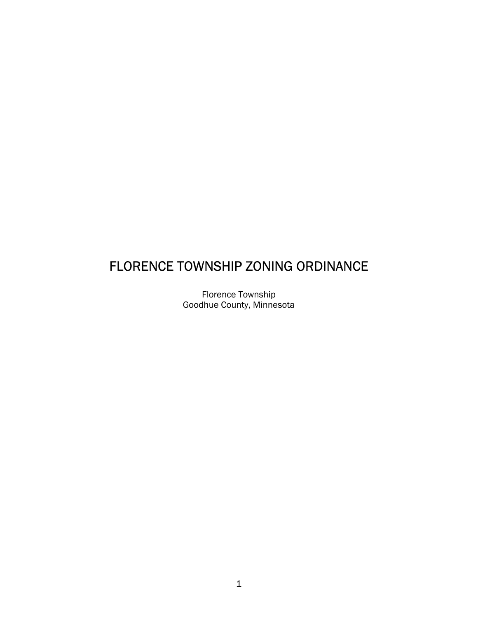# FLORENCE TOWNSHIP ZONING ORDINANCE

Florence Township Goodhue County, Minnesota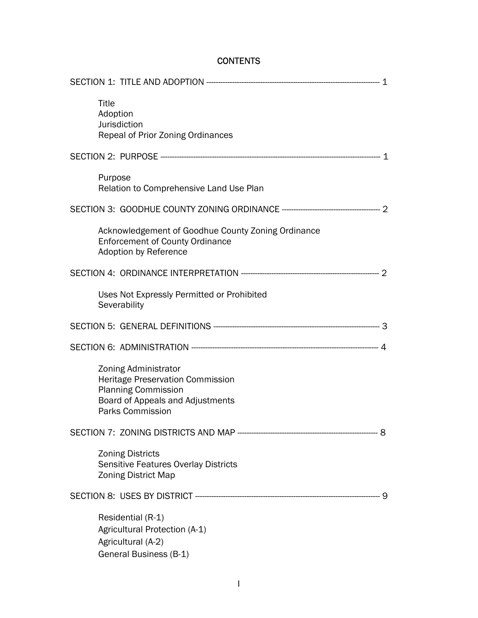# **CONTENTS**

| Title<br>Adoption<br>Jurisdiction                                                                  | Repeal of Prior Zoning Ordinances                                                            |  |
|----------------------------------------------------------------------------------------------------|----------------------------------------------------------------------------------------------|--|
|                                                                                                    |                                                                                              |  |
| Purpose                                                                                            | Relation to Comprehensive Land Use Plan                                                      |  |
|                                                                                                    |                                                                                              |  |
| <b>Adoption by Reference</b>                                                                       | Acknowledgement of Goodhue County Zoning Ordinance<br><b>Enforcement of County Ordinance</b> |  |
|                                                                                                    |                                                                                              |  |
| Severability                                                                                       | Uses Not Expressly Permitted or Prohibited                                                   |  |
|                                                                                                    |                                                                                              |  |
|                                                                                                    |                                                                                              |  |
| Zoning Administrator<br><b>Planning Commission</b><br>Parks Commission                             | <b>Heritage Preservation Commission</b><br>Board of Appeals and Adjustments                  |  |
|                                                                                                    |                                                                                              |  |
| <b>Zoning Districts</b><br><b>Zoning District Map</b>                                              | Sensitive Features Overlay Districts                                                         |  |
|                                                                                                    |                                                                                              |  |
| Residential (R-1)<br>Agricultural Protection (A-1)<br>Agricultural (A-2)<br>General Business (B-1) |                                                                                              |  |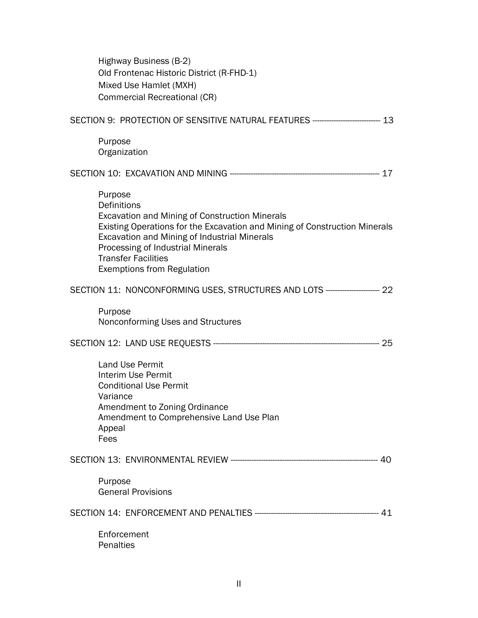| Highway Business (B-2)<br>Old Frontenac Historic District (R-FHD-1)<br>Mixed Use Hamlet (MXH)<br><b>Commercial Recreational (CR)</b>                                                                                                                                                                                  |  |
|-----------------------------------------------------------------------------------------------------------------------------------------------------------------------------------------------------------------------------------------------------------------------------------------------------------------------|--|
| SECTION 9: PROTECTION OF SENSITIVE NATURAL FEATURES ----------------------------- 13                                                                                                                                                                                                                                  |  |
| Purpose<br>Organization                                                                                                                                                                                                                                                                                               |  |
|                                                                                                                                                                                                                                                                                                                       |  |
| Purpose<br>Definitions<br><b>Excavation and Mining of Construction Minerals</b><br>Existing Operations for the Excavation and Mining of Construction Minerals<br>Excavation and Mining of Industrial Minerals<br>Processing of Industrial Minerals<br><b>Transfer Facilities</b><br><b>Exemptions from Regulation</b> |  |
| SECTION 11: NONCONFORMING USES, STRUCTURES AND LOTS ----------------------- 22                                                                                                                                                                                                                                        |  |
| Purpose<br>Nonconforming Uses and Structures                                                                                                                                                                                                                                                                          |  |
|                                                                                                                                                                                                                                                                                                                       |  |
| <b>Land Use Permit</b><br>Interim Use Permit<br><b>Conditional Use Permit</b><br>Variance<br>Amendment to Zoning Ordinance<br>Amendment to Comprehensive Land Use Plan<br>Appeal<br>Fees                                                                                                                              |  |
|                                                                                                                                                                                                                                                                                                                       |  |
| Purpose<br><b>General Provisions</b>                                                                                                                                                                                                                                                                                  |  |
|                                                                                                                                                                                                                                                                                                                       |  |
| Enforcement<br>Penalties                                                                                                                                                                                                                                                                                              |  |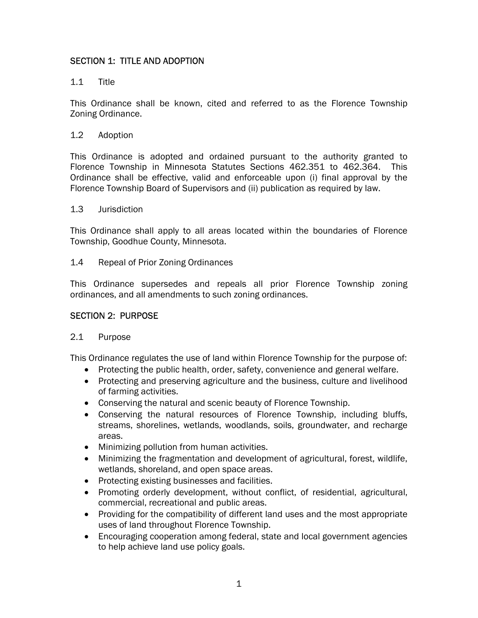# SECTION 1: TITLE AND ADOPTION

### 1.1 Title

This Ordinance shall be known, cited and referred to as the Florence Township Zoning Ordinance.

#### 1.2 Adoption

This Ordinance is adopted and ordained pursuant to the authority granted to Florence Township in Minnesota Statutes Sections 462.351 to 462.364. This Ordinance shall be effective, valid and enforceable upon (i) final approval by the Florence Township Board of Supervisors and (ii) publication as required by law.

#### 1.3 Jurisdiction

This Ordinance shall apply to all areas located within the boundaries of Florence Township, Goodhue County, Minnesota.

#### 1.4 Repeal of Prior Zoning Ordinances

This Ordinance supersedes and repeals all prior Florence Township zoning ordinances, and all amendments to such zoning ordinances.

#### SECTION 2: PURPOSE

#### 2.1 Purpose

This Ordinance regulates the use of land within Florence Township for the purpose of:

- Protecting the public health, order, safety, convenience and general welfare.
- Protecting and preserving agriculture and the business, culture and livelihood of farming activities.
- Conserving the natural and scenic beauty of Florence Township.
- Conserving the natural resources of Florence Township, including bluffs, streams, shorelines, wetlands, woodlands, soils, groundwater, and recharge areas.
- Minimizing pollution from human activities.
- Minimizing the fragmentation and development of agricultural, forest, wildlife, wetlands, shoreland, and open space areas.
- Protecting existing businesses and facilities.
- Promoting orderly development, without conflict, of residential, agricultural, commercial, recreational and public areas.
- Providing for the compatibility of different land uses and the most appropriate uses of land throughout Florence Township.
- Encouraging cooperation among federal, state and local government agencies to help achieve land use policy goals.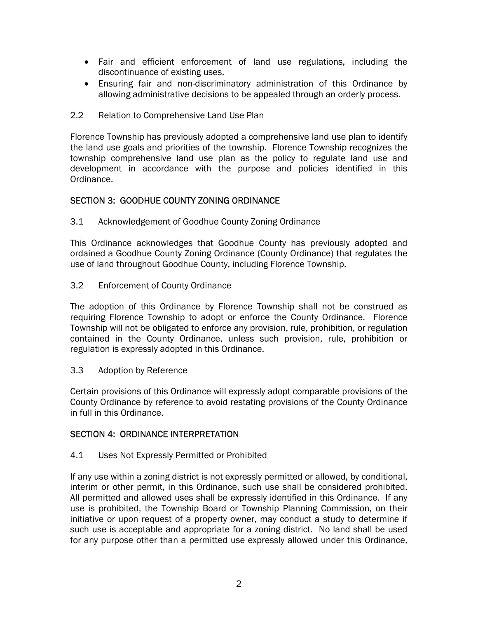- Fair and efficient enforcement of land use regulations, including the discontinuance of existing uses.
- Ensuring fair and non-discriminatory administration of this Ordinance by allowing administrative decisions to be appealed through an orderly process.
- 2.2 Relation to Comprehensive Land Use Plan

Florence Township has previously adopted a comprehensive land use plan to identify the land use goals and priorities of the township. Florence Township recognizes the township comprehensive land use plan as the policy to regulate land use and development in accordance with the purpose and policies identified in this Ordinance.

## SECTION 3: GOODHUE COUNTY ZONING ORDINANCE

3.1 Acknowledgement of Goodhue County Zoning Ordinance

This Ordinance acknowledges that Goodhue County has previously adopted and ordained a Goodhue County Zoning Ordinance (County Ordinance) that regulates the use of land throughout Goodhue County, including Florence Township.

3.2 Enforcement of County Ordinance

The adoption of this Ordinance by Florence Township shall not be construed as requiring Florence Township to adopt or enforce the County Ordinance. Florence Township will not be obligated to enforce any provision, rule, prohibition, or regulation contained in the County Ordinance, unless such provision, rule, prohibition or regulation is expressly adopted in this Ordinance.

3.3 Adoption by Reference

Certain provisions of this Ordinance will expressly adopt comparable provisions of the County Ordinance by reference to avoid restating provisions of the County Ordinance in full in this Ordinance.

#### SECTION 4: ORDINANCE INTERPRETATION

4.1 Uses Not Expressly Permitted or Prohibited

If any use within a zoning district is not expressly permitted or allowed, by conditional, interim or other permit, in this Ordinance, such use shall be considered prohibited. All permitted and allowed uses shall be expressly identified in this Ordinance. If any use is prohibited, the Township Board or Township Planning Commission, on their initiative or upon request of a property owner, may conduct a study to determine if such use is acceptable and appropriate for a zoning district. No land shall be used for any purpose other than a permitted use expressly allowed under this Ordinance,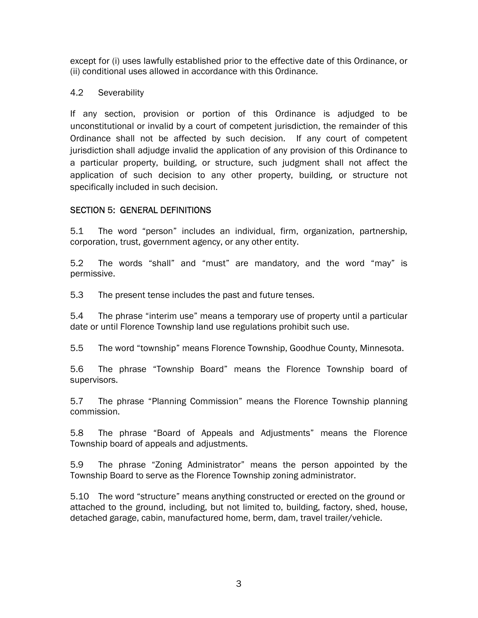except for (i) uses lawfully established prior to the effective date of this Ordinance, or (ii) conditional uses allowed in accordance with this Ordinance.

## 4.2 Severability

If any section, provision or portion of this Ordinance is adjudged to be unconstitutional or invalid by a court of competent jurisdiction, the remainder of this Ordinance shall not be affected by such decision. If any court of competent jurisdiction shall adjudge invalid the application of any provision of this Ordinance to a particular property, building, or structure, such judgment shall not affect the application of such decision to any other property, building, or structure not specifically included in such decision.

# SECTION 5: GENERAL DEFINITIONS

5.1 The word "person" includes an individual, firm, organization, partnership, corporation, trust, government agency, or any other entity.

5.2 The words "shall" and "must" are mandatory, and the word "may" is permissive.

5.3 The present tense includes the past and future tenses.

5.4 The phrase "interim use" means a temporary use of property until a particular date or until Florence Township land use regulations prohibit such use.

5.5 The word "township" means Florence Township, Goodhue County, Minnesota.

5.6 The phrase "Township Board" means the Florence Township board of supervisors.

5.7 The phrase "Planning Commission" means the Florence Township planning commission.

5.8 The phrase "Board of Appeals and Adjustments" means the Florence Township board of appeals and adjustments.

5.9 The phrase "Zoning Administrator" means the person appointed by the Township Board to serve as the Florence Township zoning administrator.

5.10 The word "structure" means anything constructed or erected on the ground or attached to the ground, including, but not limited to, building, factory, shed, house, detached garage, cabin, manufactured home, berm, dam, travel trailer/vehicle.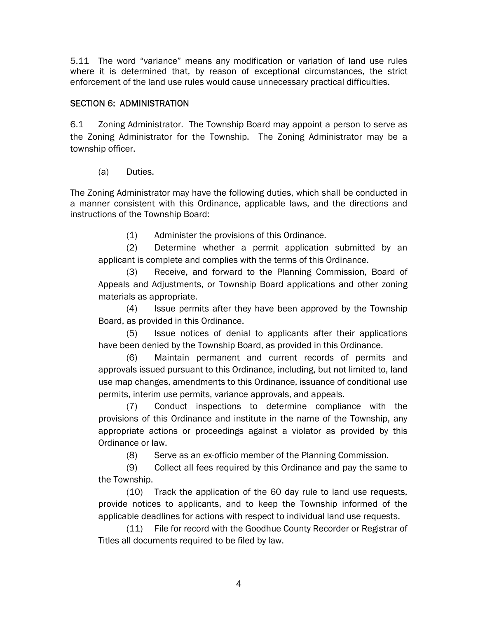5.11 The word "variance" means any modification or variation of land use rules where it is determined that, by reason of exceptional circumstances, the strict enforcement of the land use rules would cause unnecessary practical difficulties.

# SECTION 6: ADMINISTRATION

6.1 Zoning Administrator. The Township Board may appoint a person to serve as the Zoning Administrator for the Township. The Zoning Administrator may be a township officer.

(a) Duties.

The Zoning Administrator may have the following duties, which shall be conducted in a manner consistent with this Ordinance, applicable laws, and the directions and instructions of the Township Board:

(1) Administer the provisions of this Ordinance.

(2) Determine whether a permit application submitted by an applicant is complete and complies with the terms of this Ordinance.

(3) Receive, and forward to the Planning Commission, Board of Appeals and Adjustments, or Township Board applications and other zoning materials as appropriate.

(4) Issue permits after they have been approved by the Township Board, as provided in this Ordinance.

(5) Issue notices of denial to applicants after their applications have been denied by the Township Board, as provided in this Ordinance.

(6) Maintain permanent and current records of permits and approvals issued pursuant to this Ordinance, including, but not limited to, land use map changes, amendments to this Ordinance, issuance of conditional use permits, interim use permits, variance approvals, and appeals.

(7) Conduct inspections to determine compliance with the provisions of this Ordinance and institute in the name of the Township, any appropriate actions or proceedings against a violator as provided by this Ordinance or law.

(8) Serve as an ex-officio member of the Planning Commission.

(9) Collect all fees required by this Ordinance and pay the same to the Township.

(10) Track the application of the 60 day rule to land use requests, provide notices to applicants, and to keep the Township informed of the applicable deadlines for actions with respect to individual land use requests.

(11) File for record with the Goodhue County Recorder or Registrar of Titles all documents required to be filed by law.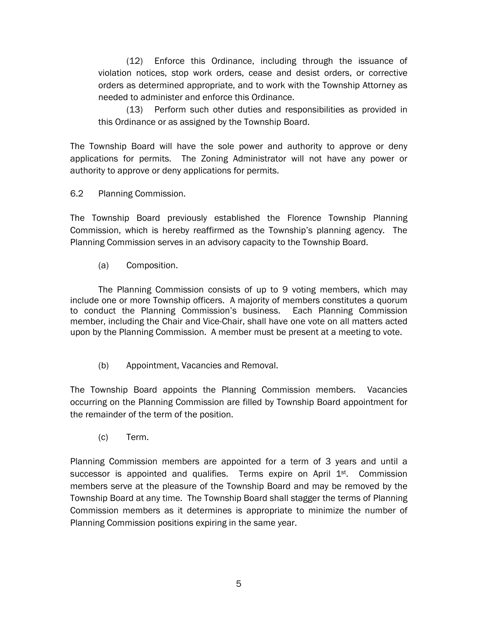(12) Enforce this Ordinance, including through the issuance of violation notices, stop work orders, cease and desist orders, or corrective orders as determined appropriate, and to work with the Township Attorney as needed to administer and enforce this Ordinance.

(13) Perform such other duties and responsibilities as provided in this Ordinance or as assigned by the Township Board.

The Township Board will have the sole power and authority to approve or deny applications for permits. The Zoning Administrator will not have any power or authority to approve or deny applications for permits.

6.2 Planning Commission.

The Township Board previously established the Florence Township Planning Commission, which is hereby reaffirmed as the Township's planning agency. The Planning Commission serves in an advisory capacity to the Township Board.

(a) Composition.

The Planning Commission consists of up to 9 voting members, which may include one or more Township officers. A majority of members constitutes a quorum to conduct the Planning Commission's business. Each Planning Commission member, including the Chair and Vice-Chair, shall have one vote on all matters acted upon by the Planning Commission. A member must be present at a meeting to vote.

(b) Appointment, Vacancies and Removal.

The Township Board appoints the Planning Commission members. Vacancies occurring on the Planning Commission are filled by Township Board appointment for the remainder of the term of the position.

(c) Term.

Planning Commission members are appointed for a term of 3 years and until a successor is appointed and qualifies. Terms expire on April  $1<sup>st</sup>$ . Commission members serve at the pleasure of the Township Board and may be removed by the Township Board at any time. The Township Board shall stagger the terms of Planning Commission members as it determines is appropriate to minimize the number of Planning Commission positions expiring in the same year.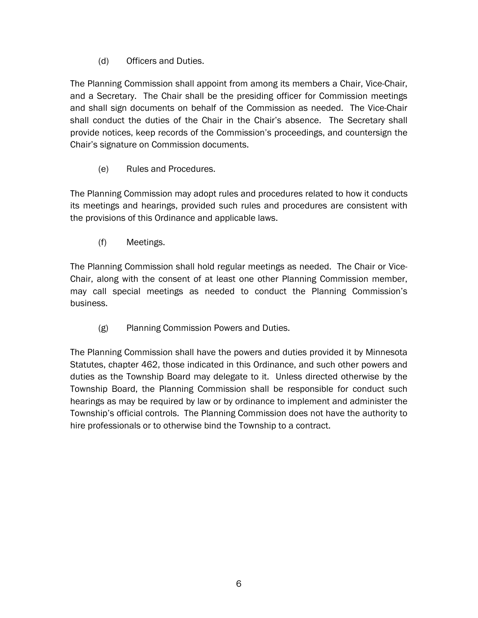(d) Officers and Duties.

The Planning Commission shall appoint from among its members a Chair, Vice-Chair, and a Secretary. The Chair shall be the presiding officer for Commission meetings and shall sign documents on behalf of the Commission as needed. The Vice-Chair shall conduct the duties of the Chair in the Chair's absence. The Secretary shall provide notices, keep records of the Commission's proceedings, and countersign the Chair's signature on Commission documents.

(e) Rules and Procedures.

The Planning Commission may adopt rules and procedures related to how it conducts its meetings and hearings, provided such rules and procedures are consistent with the provisions of this Ordinance and applicable laws.

(f) Meetings.

The Planning Commission shall hold regular meetings as needed. The Chair or Vice-Chair, along with the consent of at least one other Planning Commission member, may call special meetings as needed to conduct the Planning Commission's business.

(g) Planning Commission Powers and Duties.

The Planning Commission shall have the powers and duties provided it by Minnesota Statutes, chapter 462, those indicated in this Ordinance, and such other powers and duties as the Township Board may delegate to it. Unless directed otherwise by the Township Board, the Planning Commission shall be responsible for conduct such hearings as may be required by law or by ordinance to implement and administer the Township's official controls. The Planning Commission does not have the authority to hire professionals or to otherwise bind the Township to a contract.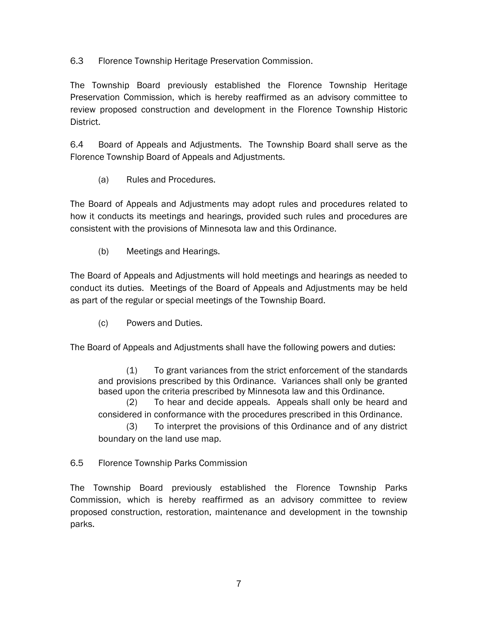6.3 Florence Township Heritage Preservation Commission.

The Township Board previously established the Florence Township Heritage Preservation Commission, which is hereby reaffirmed as an advisory committee to review proposed construction and development in the Florence Township Historic District.

6.4 Board of Appeals and Adjustments. The Township Board shall serve as the Florence Township Board of Appeals and Adjustments.

(a) Rules and Procedures.

The Board of Appeals and Adjustments may adopt rules and procedures related to how it conducts its meetings and hearings, provided such rules and procedures are consistent with the provisions of Minnesota law and this Ordinance.

(b) Meetings and Hearings.

The Board of Appeals and Adjustments will hold meetings and hearings as needed to conduct its duties. Meetings of the Board of Appeals and Adjustments may be held as part of the regular or special meetings of the Township Board.

(c) Powers and Duties.

The Board of Appeals and Adjustments shall have the following powers and duties:

(1) To grant variances from the strict enforcement of the standards and provisions prescribed by this Ordinance. Variances shall only be granted based upon the criteria prescribed by Minnesota law and this Ordinance.

(2) To hear and decide appeals. Appeals shall only be heard and considered in conformance with the procedures prescribed in this Ordinance.

(3) To interpret the provisions of this Ordinance and of any district boundary on the land use map.

6.5 Florence Township Parks Commission

The Township Board previously established the Florence Township Parks Commission, which is hereby reaffirmed as an advisory committee to review proposed construction, restoration, maintenance and development in the township parks.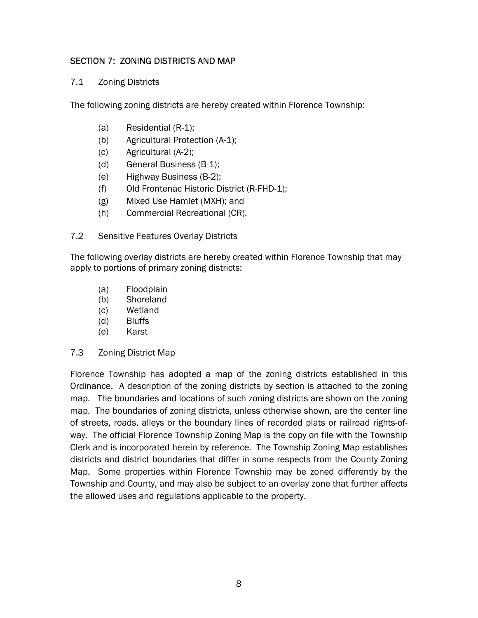# SECTION 7: ZONING DISTRICTS AND MAP

## 7.1 Zoning Districts

The following zoning districts are hereby created within Florence Township:

- (a) Residential (R-1);
- (b) Agricultural Protection (A-1);
- (c) Agricultural (A-2);
- (d) General Business (B-1);
- (e) Highway Business (B-2);
- (f) Old Frontenac Historic District (R-FHD-1);
- (g) Mixed Use Hamlet (MXH); and
- (h) Commercial Recreational (CR).
- 7.2 Sensitive Features Overlay Districts

The following overlay districts are hereby created within Florence Township that may apply to portions of primary zoning districts:

- (a) Floodplain
- (b) Shoreland
- (c) Wetland
- (d) Bluffs
- (e) Karst
- 7.3 Zoning District Map

Florence Township has adopted a map of the zoning districts established in this Ordinance. A description of the zoning districts by section is attached to the zoning map. The boundaries and locations of such zoning districts are shown on the zoning map. The boundaries of zoning districts, unless otherwise shown, are the center line of streets, roads, alleys or the boundary lines of recorded plats or railroad rights-ofway. The official Florence Township Zoning Map is the copy on file with the Township Clerk and is incorporated herein by reference. The Township Zoning Map establishes districts and district boundaries that differ in some respects from the County Zoning Map. Some properties within Florence Township may be zoned differently by the Township and County, and may also be subject to an overlay zone that further affects the allowed uses and regulations applicable to the property.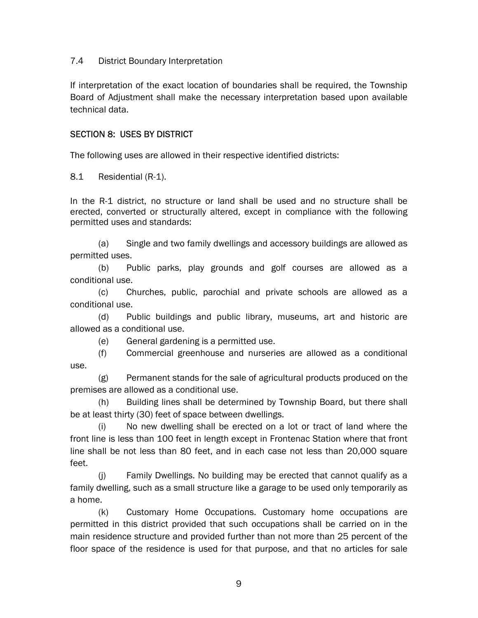## 7.4 District Boundary Interpretation

If interpretation of the exact location of boundaries shall be required, the Township Board of Adjustment shall make the necessary interpretation based upon available technical data.

## SECTION 8: USES BY DISTRICT

The following uses are allowed in their respective identified districts:

8.1 Residential (R-1).

In the R-1 district, no structure or land shall be used and no structure shall be erected, converted or structurally altered, except in compliance with the following permitted uses and standards:

(a) Single and two family dwellings and accessory buildings are allowed as permitted uses.

(b) Public parks, play grounds and golf courses are allowed as a conditional use.

(c) Churches, public, parochial and private schools are allowed as a conditional use.

(d) Public buildings and public library, museums, art and historic are allowed as a conditional use.

(e) General gardening is a permitted use.

(f) Commercial greenhouse and nurseries are allowed as a conditional use.

(g) Permanent stands for the sale of agricultural products produced on the premises are allowed as a conditional use.

(h) Building lines shall be determined by Township Board, but there shall be at least thirty (30) feet of space between dwellings.

(i) No new dwelling shall be erected on a lot or tract of land where the front line is less than 100 feet in length except in Frontenac Station where that front line shall be not less than 80 feet, and in each case not less than 20,000 square feet.

(j) Family Dwellings. No building may be erected that cannot qualify as a family dwelling, such as a small structure like a garage to be used only temporarily as a home.

(k) Customary Home Occupations. Customary home occupations are permitted in this district provided that such occupations shall be carried on in the main residence structure and provided further than not more than 25 percent of the floor space of the residence is used for that purpose, and that no articles for sale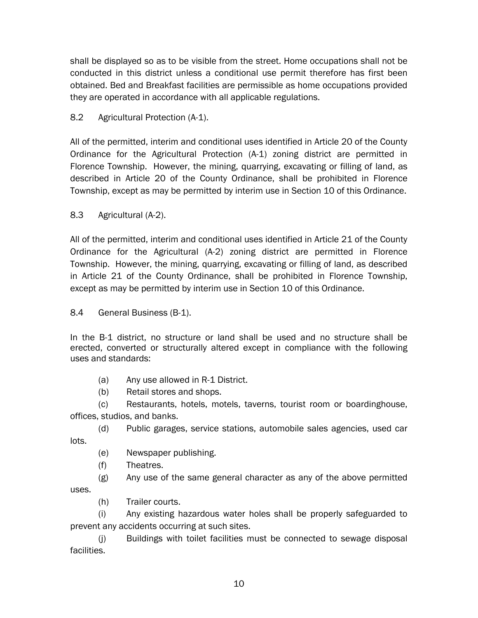shall be displayed so as to be visible from the street. Home occupations shall not be conducted in this district unless a conditional use permit therefore has first been obtained. Bed and Breakfast facilities are permissible as home occupations provided they are operated in accordance with all applicable regulations.

# 8.2 Agricultural Protection (A-1).

All of the permitted, interim and conditional uses identified in Article 20 of the County Ordinance for the Agricultural Protection (A-1) zoning district are permitted in Florence Township. However, the mining, quarrying, excavating or filling of land, as described in Article 20 of the County Ordinance, shall be prohibited in Florence Township, except as may be permitted by interim use in Section 10 of this Ordinance.

# 8.3 Agricultural (A-2).

All of the permitted, interim and conditional uses identified in Article 21 of the County Ordinance for the Agricultural (A-2) zoning district are permitted in Florence Township. However, the mining, quarrying, excavating or filling of land, as described in Article 21 of the County Ordinance, shall be prohibited in Florence Township, except as may be permitted by interim use in Section 10 of this Ordinance.

# 8.4 General Business (B-1).

In the B-1 district, no structure or land shall be used and no structure shall be erected, converted or structurally altered except in compliance with the following uses and standards:

- (a) Any use allowed in R-1 District.
- (b) Retail stores and shops.

(c) Restaurants, hotels, motels, taverns, tourist room or boardinghouse, offices, studios, and banks.

(d) Public garages, service stations, automobile sales agencies, used car lots.

- (e) Newspaper publishing.
- (f) Theatres.

 $(g)$  Any use of the same general character as any of the above permitted uses.

(h) Trailer courts.

(i) Any existing hazardous water holes shall be properly safeguarded to prevent any accidents occurring at such sites.

(j) Buildings with toilet facilities must be connected to sewage disposal facilities.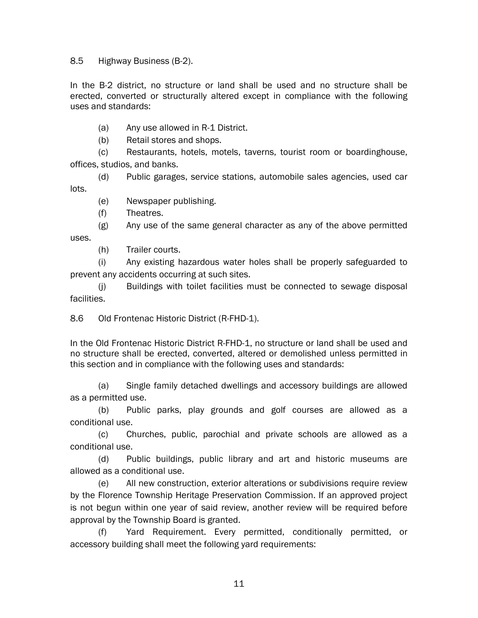8.5 Highway Business (B-2).

In the B-2 district, no structure or land shall be used and no structure shall be erected, converted or structurally altered except in compliance with the following uses and standards:

(a) Any use allowed in R-1 District.

(b) Retail stores and shops.

(c) Restaurants, hotels, motels, taverns, tourist room or boardinghouse, offices, studios, and banks.

(d) Public garages, service stations, automobile sales agencies, used car lots.

(e) Newspaper publishing.

(f) Theatres.

(g) Any use of the same general character as any of the above permitted uses.

(h) Trailer courts.

(i) Any existing hazardous water holes shall be properly safeguarded to prevent any accidents occurring at such sites.

(j) Buildings with toilet facilities must be connected to sewage disposal facilities.

8.6 Old Frontenac Historic District (R-FHD-1).

In the Old Frontenac Historic District R-FHD-1, no structure or land shall be used and no structure shall be erected, converted, altered or demolished unless permitted in this section and in compliance with the following uses and standards:

(a) Single family detached dwellings and accessory buildings are allowed as a permitted use.

(b) Public parks, play grounds and golf courses are allowed as a conditional use.

(c) Churches, public, parochial and private schools are allowed as a conditional use.

(d) Public buildings, public library and art and historic museums are allowed as a conditional use.

(e) All new construction, exterior alterations or subdivisions require review by the Florence Township Heritage Preservation Commission. If an approved project is not begun within one year of said review, another review will be required before approval by the Township Board is granted.

(f) Yard Requirement. Every permitted, conditionally permitted, or accessory building shall meet the following yard requirements: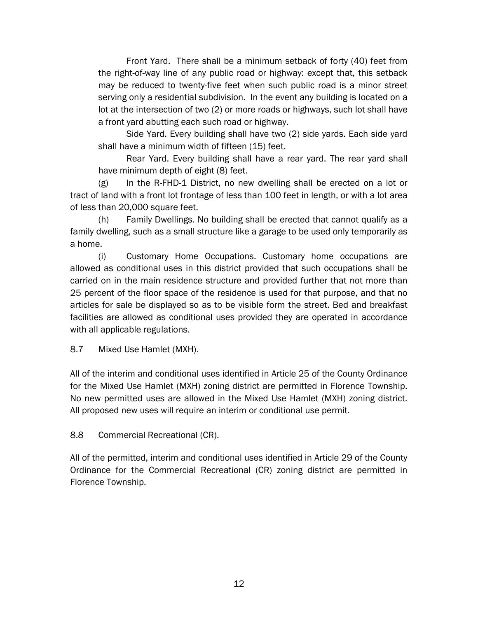Front Yard. There shall be a minimum setback of forty (40) feet from the right-of-way line of any public road or highway: except that, this setback may be reduced to twenty-five feet when such public road is a minor street serving only a residential subdivision. In the event any building is located on a lot at the intersection of two (2) or more roads or highways, such lot shall have a front yard abutting each such road or highway.

Side Yard. Every building shall have two (2) side yards. Each side yard shall have a minimum width of fifteen (15) feet.

Rear Yard. Every building shall have a rear yard. The rear yard shall have minimum depth of eight (8) feet.

(g) In the R-FHD-1 District, no new dwelling shall be erected on a lot or tract of land with a front lot frontage of less than 100 feet in length, or with a lot area of less than 20,000 square feet.

(h) Family Dwellings. No building shall be erected that cannot qualify as a family dwelling, such as a small structure like a garage to be used only temporarily as a home.

(i) Customary Home Occupations. Customary home occupations are allowed as conditional uses in this district provided that such occupations shall be carried on in the main residence structure and provided further that not more than 25 percent of the floor space of the residence is used for that purpose, and that no articles for sale be displayed so as to be visible form the street. Bed and breakfast facilities are allowed as conditional uses provided they are operated in accordance with all applicable regulations.

8.7 Mixed Use Hamlet (MXH).

All of the interim and conditional uses identified in Article 25 of the County Ordinance for the Mixed Use Hamlet (MXH) zoning district are permitted in Florence Township. No new permitted uses are allowed in the Mixed Use Hamlet (MXH) zoning district. All proposed new uses will require an interim or conditional use permit.

8.8 Commercial Recreational (CR).

All of the permitted, interim and conditional uses identified in Article 29 of the County Ordinance for the Commercial Recreational (CR) zoning district are permitted in Florence Township.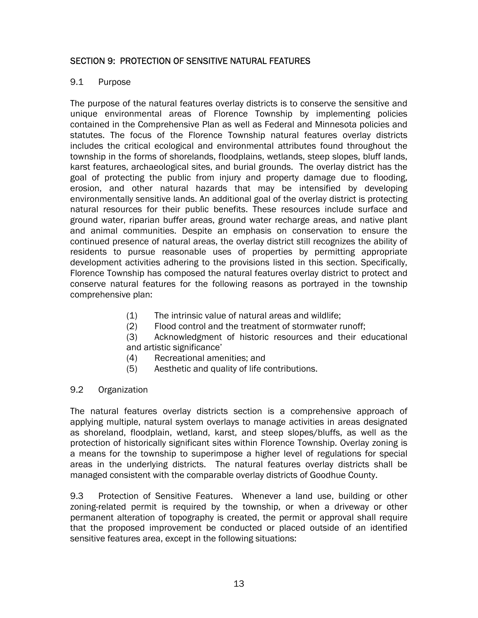# SECTION 9: PROTECTION OF SENSITIVE NATURAL FEATURES

## 9.1 Purpose

The purpose of the natural features overlay districts is to conserve the sensitive and unique environmental areas of Florence Township by implementing policies contained in the Comprehensive Plan as well as Federal and Minnesota policies and statutes. The focus of the Florence Township natural features overlay districts includes the critical ecological and environmental attributes found throughout the township in the forms of shorelands, floodplains, wetlands, steep slopes, bluff lands, karst features, archaeological sites, and burial grounds. The overlay district has the goal of protecting the public from injury and property damage due to flooding, erosion, and other natural hazards that may be intensified by developing environmentally sensitive lands. An additional goal of the overlay district is protecting natural resources for their public benefits. These resources include surface and ground water, riparian buffer areas, ground water recharge areas, and native plant and animal communities. Despite an emphasis on conservation to ensure the continued presence of natural areas, the overlay district still recognizes the ability of residents to pursue reasonable uses of properties by permitting appropriate development activities adhering to the provisions listed in this section. Specifically, Florence Township has composed the natural features overlay district to protect and conserve natural features for the following reasons as portrayed in the township comprehensive plan:

- (1) The intrinsic value of natural areas and wildlife;
- (2) Flood control and the treatment of stormwater runoff;
- (3) Acknowledgment of historic resources and their educational and artistic significance'
- (4) Recreational amenities; and
- (5) Aesthetic and quality of life contributions.

#### 9.2 Organization

The natural features overlay districts section is a comprehensive approach of applying multiple, natural system overlays to manage activities in areas designated as shoreland, floodplain, wetland, karst, and steep slopes/bluffs, as well as the protection of historically significant sites within Florence Township. Overlay zoning is a means for the township to superimpose a higher level of regulations for special areas in the underlying districts. The natural features overlay districts shall be managed consistent with the comparable overlay districts of Goodhue County.

9.3 Protection of Sensitive Features. Whenever a land use, building or other zoning-related permit is required by the township, or when a driveway or other permanent alteration of topography is created, the permit or approval shall require that the proposed improvement be conducted or placed outside of an identified sensitive features area, except in the following situations: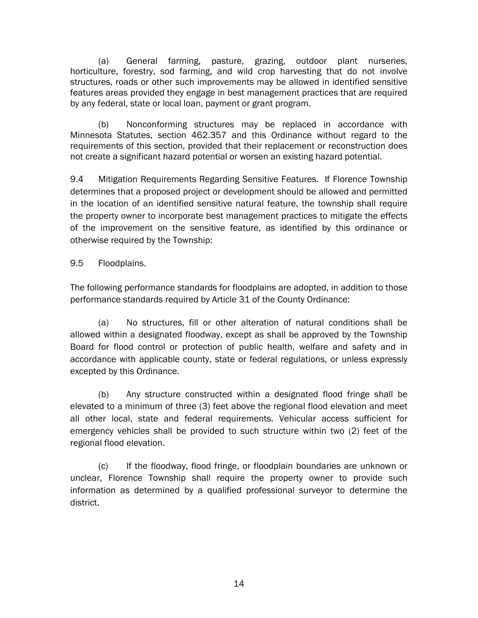(a) General farming, pasture, grazing, outdoor plant nurseries, horticulture, forestry, sod farming, and wild crop harvesting that do not involve structures, roads or other such improvements may be allowed in identified sensitive features areas provided they engage in best management practices that are required by any federal, state or local loan, payment or grant program.

(b) Nonconforming structures may be replaced in accordance with Minnesota Statutes, section 462.357 and this Ordinance without regard to the requirements of this section, provided that their replacement or reconstruction does not create a significant hazard potential or worsen an existing hazard potential.

9.4 Mitigation Requirements Regarding Sensitive Features. If Florence Township determines that a proposed project or development should be allowed and permitted in the location of an identified sensitive natural feature, the township shall require the property owner to incorporate best management practices to mitigate the effects of the improvement on the sensitive feature, as identified by this ordinance or otherwise required by the Township:

# 9.5 Floodplains.

The following performance standards for floodplains are adopted, in addition to those performance standards required by Article 31 of the County Ordinance:

(a) No structures, fill or other alteration of natural conditions shall be allowed within a designated floodway, except as shall be approved by the Township Board for flood control or protection of public health, welfare and safety and in accordance with applicable county, state or federal regulations, or unless expressly excepted by this Ordinance.

(b) Any structure constructed within a designated flood fringe shall be elevated to a minimum of three (3) feet above the regional flood elevation and meet all other local, state and federal requirements. Vehicular access sufficient for emergency vehicles shall be provided to such structure within two (2) feet of the regional flood elevation.

(c) If the floodway, flood fringe, or floodplain boundaries are unknown or unclear, Florence Township shall require the property owner to provide such information as determined by a qualified professional surveyor to determine the district.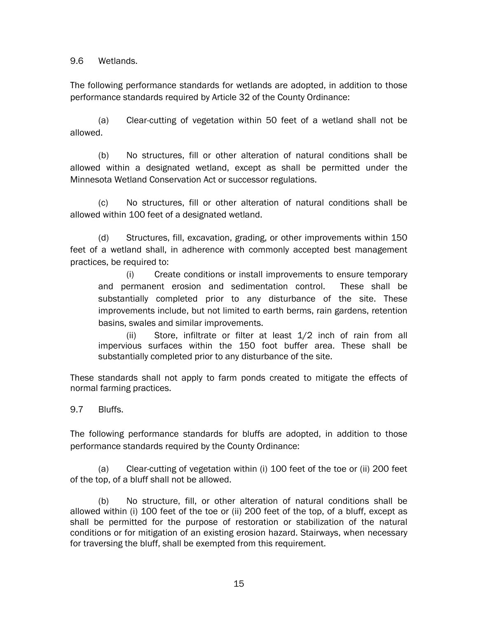9.6 Wetlands.

The following performance standards for wetlands are adopted, in addition to those performance standards required by Article 32 of the County Ordinance:

(a) Clear-cutting of vegetation within 50 feet of a wetland shall not be allowed.

(b) No structures, fill or other alteration of natural conditions shall be allowed within a designated wetland, except as shall be permitted under the Minnesota Wetland Conservation Act or successor regulations.

(c) No structures, fill or other alteration of natural conditions shall be allowed within 100 feet of a designated wetland.

(d) Structures, fill, excavation, grading, or other improvements within 150 feet of a wetland shall, in adherence with commonly accepted best management practices, be required to:

(i) Create conditions or install improvements to ensure temporary and permanent erosion and sedimentation control. These shall be substantially completed prior to any disturbance of the site. These improvements include, but not limited to earth berms, rain gardens, retention basins, swales and similar improvements.

(ii) Store, infiltrate or filter at least 1/2 inch of rain from all impervious surfaces within the 150 foot buffer area. These shall be substantially completed prior to any disturbance of the site.

These standards shall not apply to farm ponds created to mitigate the effects of normal farming practices.

9.7 Bluffs.

The following performance standards for bluffs are adopted, in addition to those performance standards required by the County Ordinance:

(a) Clear-cutting of vegetation within (i) 100 feet of the toe or (ii) 200 feet of the top, of a bluff shall not be allowed.

(b) No structure, fill, or other alteration of natural conditions shall be allowed within (i) 100 feet of the toe or (ii) 200 feet of the top, of a bluff, except as shall be permitted for the purpose of restoration or stabilization of the natural conditions or for mitigation of an existing erosion hazard. Stairways, when necessary for traversing the bluff, shall be exempted from this requirement.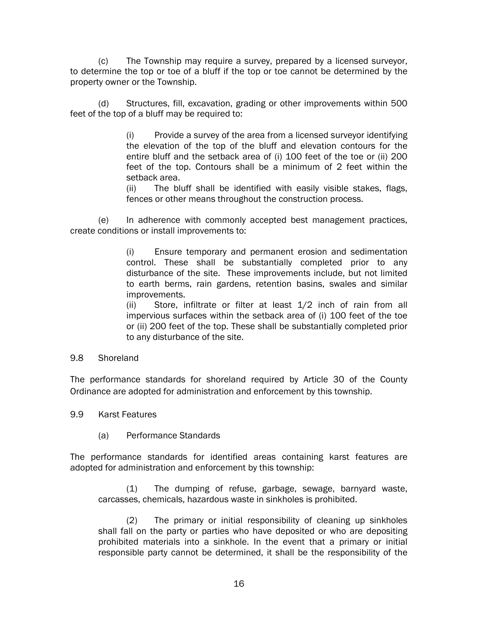(c) The Township may require a survey, prepared by a licensed surveyor, to determine the top or toe of a bluff if the top or toe cannot be determined by the property owner or the Township.

(d) Structures, fill, excavation, grading or other improvements within 500 feet of the top of a bluff may be required to:

> (i) Provide a survey of the area from a licensed surveyor identifying the elevation of the top of the bluff and elevation contours for the entire bluff and the setback area of (i) 100 feet of the toe or (ii) 200 feet of the top. Contours shall be a minimum of 2 feet within the setback area.

> (ii) The bluff shall be identified with easily visible stakes, flags, fences or other means throughout the construction process.

(e) In adherence with commonly accepted best management practices, create conditions or install improvements to:

> (i) Ensure temporary and permanent erosion and sedimentation control. These shall be substantially completed prior to any disturbance of the site. These improvements include, but not limited to earth berms, rain gardens, retention basins, swales and similar improvements.

> (ii) Store, infiltrate or filter at least 1/2 inch of rain from all impervious surfaces within the setback area of (i) 100 feet of the toe or (ii) 200 feet of the top. These shall be substantially completed prior to any disturbance of the site.

#### 9.8 Shoreland

The performance standards for shoreland required by Article 30 of the County Ordinance are adopted for administration and enforcement by this township.

9.9 Karst Features

(a) Performance Standards

The performance standards for identified areas containing karst features are adopted for administration and enforcement by this township:

(1) The dumping of refuse, garbage, sewage, barnyard waste, carcasses, chemicals, hazardous waste in sinkholes is prohibited.

(2) The primary or initial responsibility of cleaning up sinkholes shall fall on the party or parties who have deposited or who are depositing prohibited materials into a sinkhole. In the event that a primary or initial responsible party cannot be determined, it shall be the responsibility of the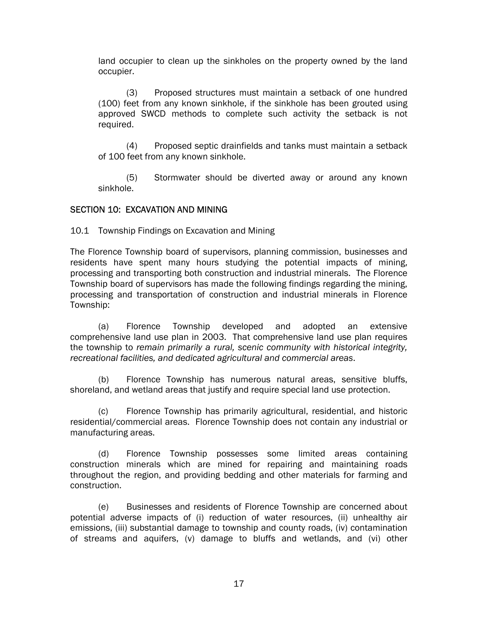land occupier to clean up the sinkholes on the property owned by the land occupier.

(3) Proposed structures must maintain a setback of one hundred (100) feet from any known sinkhole, if the sinkhole has been grouted using approved SWCD methods to complete such activity the setback is not required.

(4) Proposed septic drainfields and tanks must maintain a setback of 100 feet from any known sinkhole.

(5) Stormwater should be diverted away or around any known sinkhole.

## SECTION 10: EXCAVATION AND MINING

10.1 Township Findings on Excavation and Mining

The Florence Township board of supervisors, planning commission, businesses and residents have spent many hours studying the potential impacts of mining, processing and transporting both construction and industrial minerals. The Florence Township board of supervisors has made the following findings regarding the mining, processing and transportation of construction and industrial minerals in Florence Township:

 (a) Florence Township developed and adopted an extensive comprehensive land use plan in 2003. That comprehensive land use plan requires the township to *remain primarily a rural, scenic community with historical integrity, recreational facilities, and dedicated agricultural and commercial areas*.

 (b) Florence Township has numerous natural areas, sensitive bluffs, shoreland, and wetland areas that justify and require special land use protection.

(c) Florence Township has primarily agricultural, residential, and historic residential/commercial areas. Florence Township does not contain any industrial or manufacturing areas.

 (d) Florence Township possesses some limited areas containing construction minerals which are mined for repairing and maintaining roads throughout the region, and providing bedding and other materials for farming and construction.

 (e) Businesses and residents of Florence Township are concerned about potential adverse impacts of (i) reduction of water resources, (ii) unhealthy air emissions, (iii) substantial damage to township and county roads, (iv) contamination of streams and aquifers, (v) damage to bluffs and wetlands, and (vi) other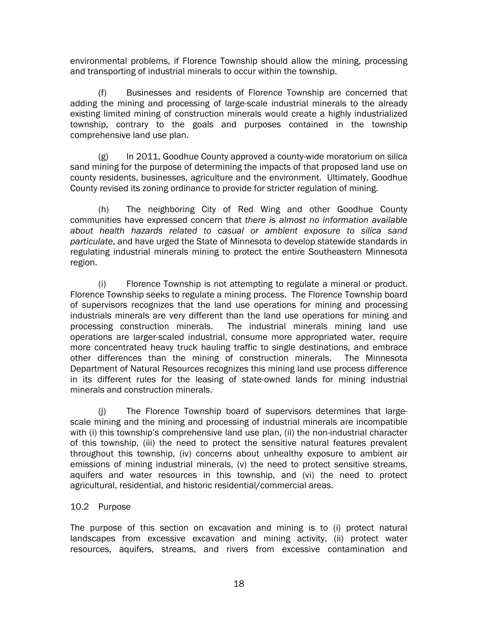environmental problems, if Florence Township should allow the mining, processing and transporting of industrial minerals to occur within the township.

 (f) Businesses and residents of Florence Township are concerned that adding the mining and processing of large-scale industrial minerals to the already existing limited mining of construction minerals would create a highly industrialized township, contrary to the goals and purposes contained in the township comprehensive land use plan.

 (g) In 2011, Goodhue County approved a county-wide moratorium on silica sand mining for the purpose of determining the impacts of that proposed land use on county residents, businesses, agriculture and the environment. Ultimately, Goodhue County revised its zoning ordinance to provide for stricter regulation of mining.

 (h) The neighboring City of Red Wing and other Goodhue County communities have expressed concern that *there is almost no information available about health hazards related to casual or ambient exposure to silica sand particulate*, and have urged the State of Minnesota to develop statewide standards in regulating industrial minerals mining to protect the entire Southeastern Minnesota region.

 (i) Florence Township is not attempting to regulate a mineral or product. Florence Township seeks to regulate a mining process. The Florence Township board of supervisors recognizes that the land use operations for mining and processing industrials minerals are very different than the land use operations for mining and processing construction minerals. The industrial minerals mining land use operations are larger-scaled industrial, consume more appropriated water, require more concentrated heavy truck hauling traffic to single destinations, and embrace other differences than the mining of construction minerals. The Minnesota Department of Natural Resources recognizes this mining land use process difference in its different rules for the leasing of state-owned lands for mining industrial minerals and construction minerals.

 (j) The Florence Township board of supervisors determines that largescale mining and the mining and processing of industrial minerals are incompatible with (i) this township's comprehensive land use plan, (ii) the non-industrial character of this township, (iii) the need to protect the sensitive natural features prevalent throughout this township, (iv) concerns about unhealthy exposure to ambient air emissions of mining industrial minerals, (v) the need to protect sensitive streams, aquifers and water resources in this township, and (vi) the need to protect agricultural, residential, and historic residential/commercial areas.

## 10.2 Purpose

The purpose of this section on excavation and mining is to (i) protect natural landscapes from excessive excavation and mining activity, (ii) protect water resources, aquifers, streams, and rivers from excessive contamination and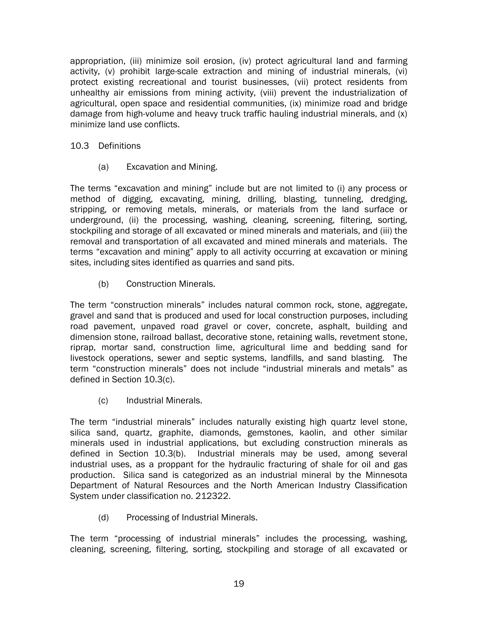appropriation, (iii) minimize soil erosion, (iv) protect agricultural land and farming activity, (v) prohibit large-scale extraction and mining of industrial minerals, (vi) protect existing recreational and tourist businesses, (vii) protect residents from unhealthy air emissions from mining activity, (viii) prevent the industrialization of agricultural, open space and residential communities, (ix) minimize road and bridge damage from high-volume and heavy truck traffic hauling industrial minerals, and (x) minimize land use conflicts.

## 10.3 Definitions

(a) Excavation and Mining.

The terms "excavation and mining" include but are not limited to (i) any process or method of digging, excavating, mining, drilling, blasting, tunneling, dredging, stripping, or removing metals, minerals, or materials from the land surface or underground, (ii) the processing, washing, cleaning, screening, filtering, sorting, stockpiling and storage of all excavated or mined minerals and materials, and (iii) the removal and transportation of all excavated and mined minerals and materials. The terms "excavation and mining" apply to all activity occurring at excavation or mining sites, including sites identified as quarries and sand pits.

(b) Construction Minerals.

The term "construction minerals" includes natural common rock, stone, aggregate, gravel and sand that is produced and used for local construction purposes, including road pavement, unpaved road gravel or cover, concrete, asphalt, building and dimension stone, railroad ballast, decorative stone, retaining walls, revetment stone, riprap, mortar sand, construction lime, agricultural lime and bedding sand for livestock operations, sewer and septic systems, landfills, and sand blasting. The term "construction minerals" does not include "industrial minerals and metals" as defined in Section 10.3(c).

(c) Industrial Minerals.

The term "industrial minerals" includes naturally existing high quartz level stone, silica sand, quartz, graphite, diamonds, gemstones, kaolin, and other similar minerals used in industrial applications, but excluding construction minerals as defined in Section 10.3(b). Industrial minerals may be used, among several industrial uses, as a proppant for the hydraulic fracturing of shale for oil and gas production. Silica sand is categorized as an industrial mineral by the Minnesota Department of Natural Resources and the North American Industry Classification System under classification no. 212322.

(d) Processing of Industrial Minerals.

The term "processing of industrial minerals" includes the processing, washing, cleaning, screening, filtering, sorting, stockpiling and storage of all excavated or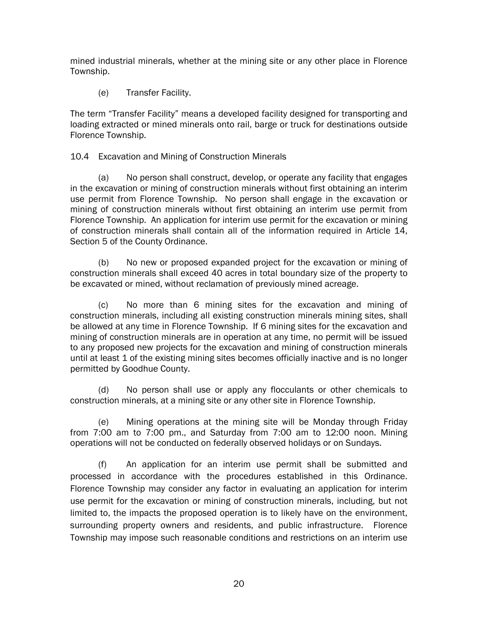mined industrial minerals, whether at the mining site or any other place in Florence Township.

(e) Transfer Facility.

The term "Transfer Facility" means a developed facility designed for transporting and loading extracted or mined minerals onto rail, barge or truck for destinations outside Florence Township.

## 10.4 Excavation and Mining of Construction Minerals

 (a) No person shall construct, develop, or operate any facility that engages in the excavation or mining of construction minerals without first obtaining an interim use permit from Florence Township. No person shall engage in the excavation or mining of construction minerals without first obtaining an interim use permit from Florence Township. An application for interim use permit for the excavation or mining of construction minerals shall contain all of the information required in Article 14, Section 5 of the County Ordinance.

 (b) No new or proposed expanded project for the excavation or mining of construction minerals shall exceed 40 acres in total boundary size of the property to be excavated or mined, without reclamation of previously mined acreage.

 (c) No more than 6 mining sites for the excavation and mining of construction minerals, including all existing construction minerals mining sites, shall be allowed at any time in Florence Township. If 6 mining sites for the excavation and mining of construction minerals are in operation at any time, no permit will be issued to any proposed new projects for the excavation and mining of construction minerals until at least 1 of the existing mining sites becomes officially inactive and is no longer permitted by Goodhue County.

(d) No person shall use or apply any flocculants or other chemicals to construction minerals, at a mining site or any other site in Florence Township.

(e) Mining operations at the mining site will be Monday through Friday from 7:00 am to 7:00 pm., and Saturday from 7:00 am to 12:00 noon. Mining operations will not be conducted on federally observed holidays or on Sundays.

(f) An application for an interim use permit shall be submitted and processed in accordance with the procedures established in this Ordinance. Florence Township may consider any factor in evaluating an application for interim use permit for the excavation or mining of construction minerals, including, but not limited to, the impacts the proposed operation is to likely have on the environment, surrounding property owners and residents, and public infrastructure. Florence Township may impose such reasonable conditions and restrictions on an interim use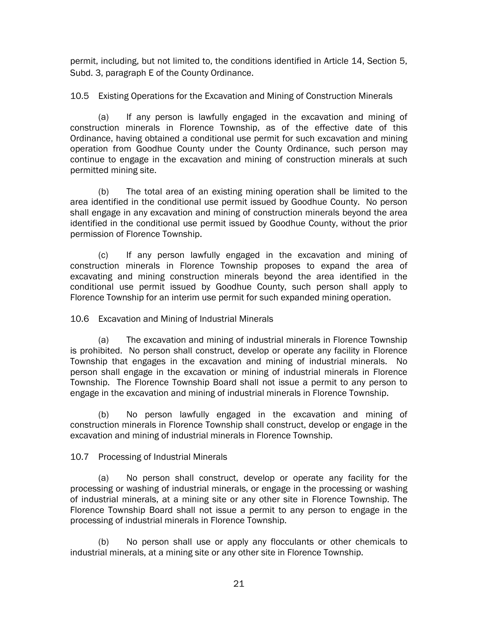permit, including, but not limited to, the conditions identified in Article 14, Section 5, Subd. 3, paragraph E of the County Ordinance.

10.5 Existing Operations for the Excavation and Mining of Construction Minerals

 (a) If any person is lawfully engaged in the excavation and mining of construction minerals in Florence Township, as of the effective date of this Ordinance, having obtained a conditional use permit for such excavation and mining operation from Goodhue County under the County Ordinance, such person may continue to engage in the excavation and mining of construction minerals at such permitted mining site.

(b) The total area of an existing mining operation shall be limited to the area identified in the conditional use permit issued by Goodhue County. No person shall engage in any excavation and mining of construction minerals beyond the area identified in the conditional use permit issued by Goodhue County, without the prior permission of Florence Township.

(c) If any person lawfully engaged in the excavation and mining of construction minerals in Florence Township proposes to expand the area of excavating and mining construction minerals beyond the area identified in the conditional use permit issued by Goodhue County, such person shall apply to Florence Township for an interim use permit for such expanded mining operation.

# 10.6 Excavation and Mining of Industrial Minerals

 (a) The excavation and mining of industrial minerals in Florence Township is prohibited. No person shall construct, develop or operate any facility in Florence Township that engages in the excavation and mining of industrial minerals. No person shall engage in the excavation or mining of industrial minerals in Florence Township. The Florence Township Board shall not issue a permit to any person to engage in the excavation and mining of industrial minerals in Florence Township.

 (b) No person lawfully engaged in the excavation and mining of construction minerals in Florence Township shall construct, develop or engage in the excavation and mining of industrial minerals in Florence Township.

# 10.7 Processing of Industrial Minerals

(a) No person shall construct, develop or operate any facility for the processing or washing of industrial minerals, or engage in the processing or washing of industrial minerals, at a mining site or any other site in Florence Township. The Florence Township Board shall not issue a permit to any person to engage in the processing of industrial minerals in Florence Township.

(b) No person shall use or apply any flocculants or other chemicals to industrial minerals, at a mining site or any other site in Florence Township.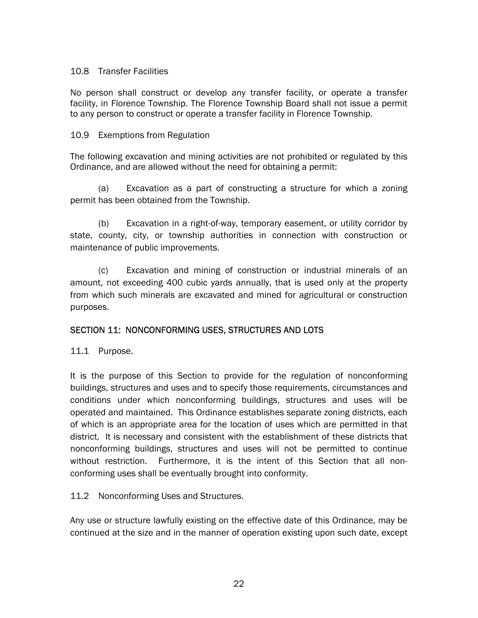## 10.8 Transfer Facilities

No person shall construct or develop any transfer facility, or operate a transfer facility, in Florence Township. The Florence Township Board shall not issue a permit to any person to construct or operate a transfer facility in Florence Township.

## 10.9 Exemptions from Regulation

The following excavation and mining activities are not prohibited or regulated by this Ordinance, and are allowed without the need for obtaining a permit:

(a) Excavation as a part of constructing a structure for which a zoning permit has been obtained from the Township.

(b) Excavation in a right-of-way, temporary easement, or utility corridor by state, county, city, or township authorities in connection with construction or maintenance of public improvements.

(c) Excavation and mining of construction or industrial minerals of an amount, not exceeding 400 cubic yards annually, that is used only at the property from which such minerals are excavated and mined for agricultural or construction purposes.

## SECTION 11: NONCONFORMING USES, STRUCTURES AND LOTS

11.1 Purpose.

It is the purpose of this Section to provide for the regulation of nonconforming buildings, structures and uses and to specify those requirements, circumstances and conditions under which nonconforming buildings, structures and uses will be operated and maintained. This Ordinance establishes separate zoning districts, each of which is an appropriate area for the location of uses which are permitted in that district. It is necessary and consistent with the establishment of these districts that nonconforming buildings, structures and uses will not be permitted to continue without restriction. Furthermore, it is the intent of this Section that all nonconforming uses shall be eventually brought into conformity.

## 11.2 Nonconforming Uses and Structures.

Any use or structure lawfully existing on the effective date of this Ordinance, may be continued at the size and in the manner of operation existing upon such date, except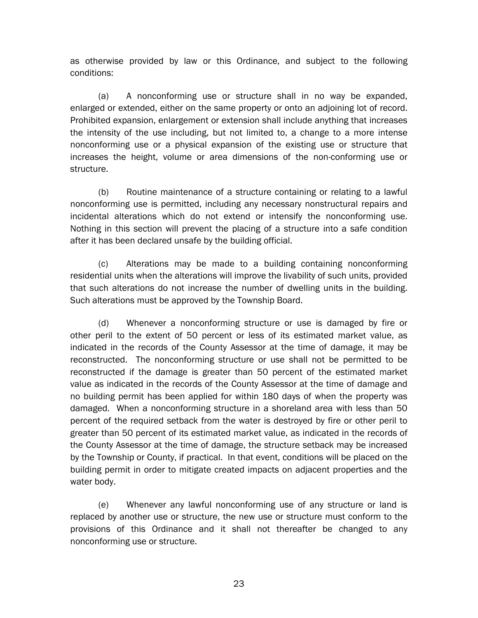as otherwise provided by law or this Ordinance, and subject to the following conditions:

(a) A nonconforming use or structure shall in no way be expanded, enlarged or extended, either on the same property or onto an adjoining lot of record. Prohibited expansion, enlargement or extension shall include anything that increases the intensity of the use including, but not limited to, a change to a more intense nonconforming use or a physical expansion of the existing use or structure that increases the height, volume or area dimensions of the non-conforming use or structure.

(b) Routine maintenance of a structure containing or relating to a lawful nonconforming use is permitted, including any necessary nonstructural repairs and incidental alterations which do not extend or intensify the nonconforming use. Nothing in this section will prevent the placing of a structure into a safe condition after it has been declared unsafe by the building official.

(c) Alterations may be made to a building containing nonconforming residential units when the alterations will improve the livability of such units, provided that such alterations do not increase the number of dwelling units in the building. Such alterations must be approved by the Township Board.

(d) Whenever a nonconforming structure or use is damaged by fire or other peril to the extent of 50 percent or less of its estimated market value, as indicated in the records of the County Assessor at the time of damage, it may be reconstructed. The nonconforming structure or use shall not be permitted to be reconstructed if the damage is greater than 50 percent of the estimated market value as indicated in the records of the County Assessor at the time of damage and no building permit has been applied for within 180 days of when the property was damaged. When a nonconforming structure in a shoreland area with less than 50 percent of the required setback from the water is destroyed by fire or other peril to greater than 50 percent of its estimated market value, as indicated in the records of the County Assessor at the time of damage, the structure setback may be increased by the Township or County, if practical. In that event, conditions will be placed on the building permit in order to mitigate created impacts on adjacent properties and the water body.

(e) Whenever any lawful nonconforming use of any structure or land is replaced by another use or structure, the new use or structure must conform to the provisions of this Ordinance and it shall not thereafter be changed to any nonconforming use or structure.

23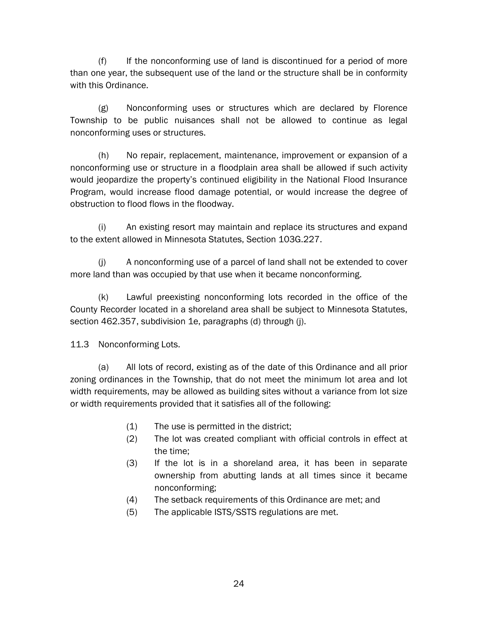(f) If the nonconforming use of land is discontinued for a period of more than one year, the subsequent use of the land or the structure shall be in conformity with this Ordinance.

(g) Nonconforming uses or structures which are declared by Florence Township to be public nuisances shall not be allowed to continue as legal nonconforming uses or structures.

(h) No repair, replacement, maintenance, improvement or expansion of a nonconforming use or structure in a floodplain area shall be allowed if such activity would jeopardize the property's continued eligibility in the National Flood Insurance Program, would increase flood damage potential, or would increase the degree of obstruction to flood flows in the floodway.

(i) An existing resort may maintain and replace its structures and expand to the extent allowed in Minnesota Statutes, Section 103G.227.

(j) A nonconforming use of a parcel of land shall not be extended to cover more land than was occupied by that use when it became nonconforming.

(k) Lawful preexisting nonconforming lots recorded in the office of the County Recorder located in a shoreland area shall be subject to Minnesota Statutes, section 462.357, subdivision 1e, paragraphs (d) through (j).

11.3 Nonconforming Lots.

(a) All lots of record, existing as of the date of this Ordinance and all prior zoning ordinances in the Township, that do not meet the minimum lot area and lot width requirements, may be allowed as building sites without a variance from lot size or width requirements provided that it satisfies all of the following:

- (1) The use is permitted in the district;
- (2) The lot was created compliant with official controls in effect at the time;
- (3) If the lot is in a shoreland area, it has been in separate ownership from abutting lands at all times since it became nonconforming;
- (4) The setback requirements of this Ordinance are met; and
- (5) The applicable ISTS/SSTS regulations are met.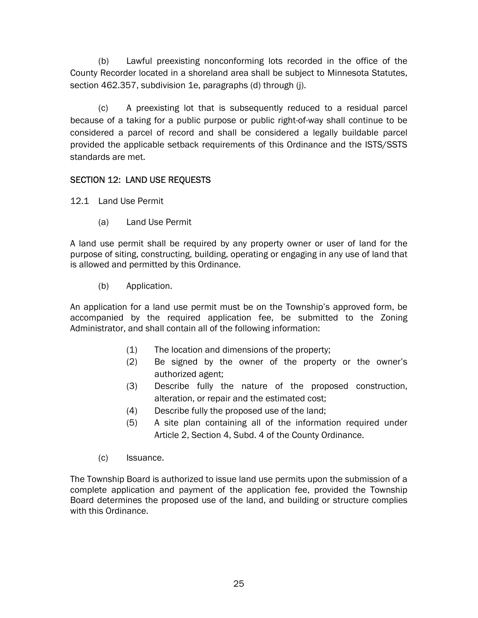(b) Lawful preexisting nonconforming lots recorded in the office of the County Recorder located in a shoreland area shall be subject to Minnesota Statutes, section 462.357, subdivision 1e, paragraphs (d) through (j).

(c) A preexisting lot that is subsequently reduced to a residual parcel because of a taking for a public purpose or public right-of-way shall continue to be considered a parcel of record and shall be considered a legally buildable parcel provided the applicable setback requirements of this Ordinance and the ISTS/SSTS standards are met.

# SECTION 12: LAND USE REQUESTS

12.1 Land Use Permit

(a) Land Use Permit

A land use permit shall be required by any property owner or user of land for the purpose of siting, constructing, building, operating or engaging in any use of land that is allowed and permitted by this Ordinance.

(b) Application.

An application for a land use permit must be on the Township's approved form, be accompanied by the required application fee, be submitted to the Zoning Administrator, and shall contain all of the following information:

- (1) The location and dimensions of the property;
- (2) Be signed by the owner of the property or the owner's authorized agent;
- (3) Describe fully the nature of the proposed construction, alteration, or repair and the estimated cost;
- (4) Describe fully the proposed use of the land;
- (5) A site plan containing all of the information required under Article 2, Section 4, Subd. 4 of the County Ordinance.
- (c) Issuance.

The Township Board is authorized to issue land use permits upon the submission of a complete application and payment of the application fee, provided the Township Board determines the proposed use of the land, and building or structure complies with this Ordinance.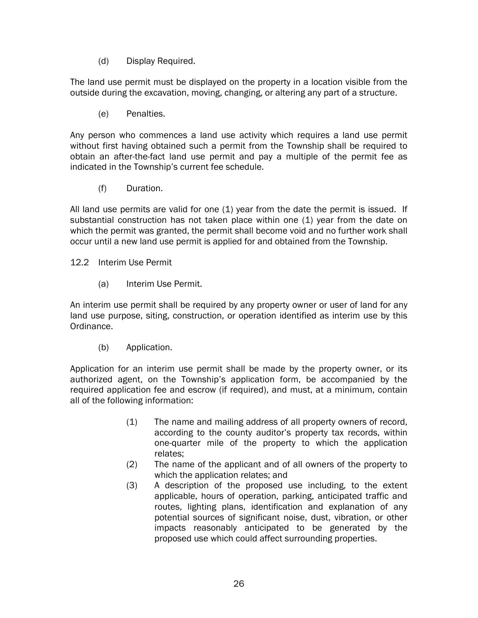(d) Display Required.

The land use permit must be displayed on the property in a location visible from the outside during the excavation, moving, changing, or altering any part of a structure.

(e) Penalties.

Any person who commences a land use activity which requires a land use permit without first having obtained such a permit from the Township shall be required to obtain an after-the-fact land use permit and pay a multiple of the permit fee as indicated in the Township's current fee schedule.

(f) Duration.

All land use permits are valid for one (1) year from the date the permit is issued. If substantial construction has not taken place within one (1) year from the date on which the permit was granted, the permit shall become void and no further work shall occur until a new land use permit is applied for and obtained from the Township.

12.2 Interim Use Permit

(a) Interim Use Permit.

An interim use permit shall be required by any property owner or user of land for any land use purpose, siting, construction, or operation identified as interim use by this Ordinance.

(b) Application.

Application for an interim use permit shall be made by the property owner, or its authorized agent, on the Township's application form, be accompanied by the required application fee and escrow (if required), and must, at a minimum, contain all of the following information:

- (1) The name and mailing address of all property owners of record, according to the county auditor's property tax records, within one-quarter mile of the property to which the application relates;
- (2) The name of the applicant and of all owners of the property to which the application relates; and
- (3) A description of the proposed use including, to the extent applicable, hours of operation, parking, anticipated traffic and routes, lighting plans, identification and explanation of any potential sources of significant noise, dust, vibration, or other impacts reasonably anticipated to be generated by the proposed use which could affect surrounding properties.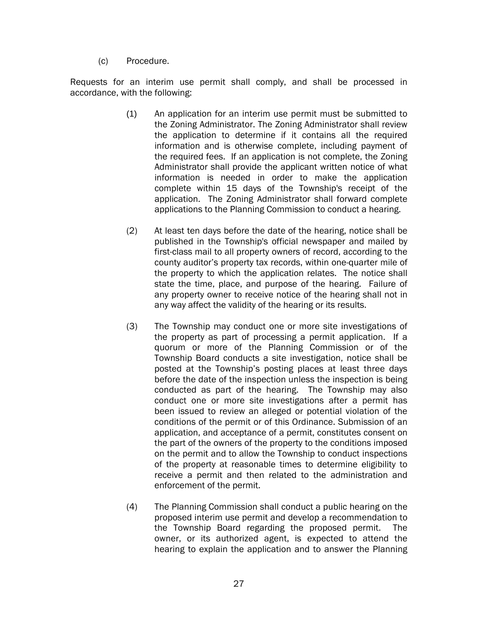(c) Procedure.

Requests for an interim use permit shall comply, and shall be processed in accordance, with the following:

- (1) An application for an interim use permit must be submitted to the Zoning Administrator. The Zoning Administrator shall review the application to determine if it contains all the required information and is otherwise complete, including payment of the required fees. If an application is not complete, the Zoning Administrator shall provide the applicant written notice of what information is needed in order to make the application complete within 15 days of the Township's receipt of the application. The Zoning Administrator shall forward complete applications to the Planning Commission to conduct a hearing.
- (2) At least ten days before the date of the hearing, notice shall be published in the Township's official newspaper and mailed by first-class mail to all property owners of record, according to the county auditor's property tax records, within one-quarter mile of the property to which the application relates. The notice shall state the time, place, and purpose of the hearing. Failure of any property owner to receive notice of the hearing shall not in any way affect the validity of the hearing or its results.
- (3) The Township may conduct one or more site investigations of the property as part of processing a permit application. If a quorum or more of the Planning Commission or of the Township Board conducts a site investigation, notice shall be posted at the Township's posting places at least three days before the date of the inspection unless the inspection is being conducted as part of the hearing. The Township may also conduct one or more site investigations after a permit has been issued to review an alleged or potential violation of the conditions of the permit or of this Ordinance. Submission of an application, and acceptance of a permit, constitutes consent on the part of the owners of the property to the conditions imposed on the permit and to allow the Township to conduct inspections of the property at reasonable times to determine eligibility to receive a permit and then related to the administration and enforcement of the permit.
- (4) The Planning Commission shall conduct a public hearing on the proposed interim use permit and develop a recommendation to the Township Board regarding the proposed permit. The owner, or its authorized agent, is expected to attend the hearing to explain the application and to answer the Planning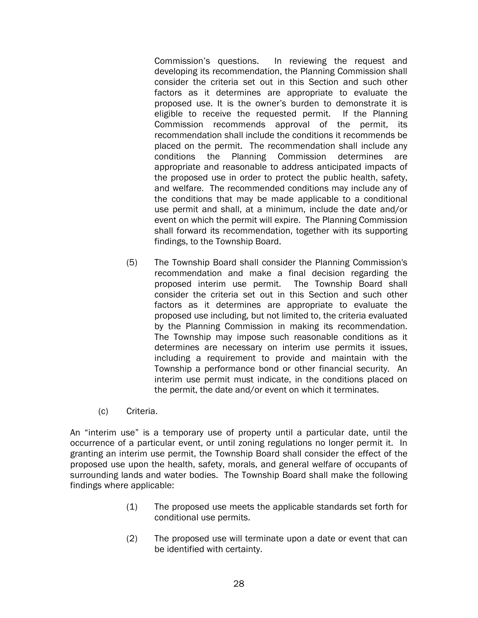Commission's questions. In reviewing the request and developing its recommendation, the Planning Commission shall consider the criteria set out in this Section and such other factors as it determines are appropriate to evaluate the proposed use. It is the owner's burden to demonstrate it is eligible to receive the requested permit. If the Planning Commission recommends approval of the permit, its recommendation shall include the conditions it recommends be placed on the permit. The recommendation shall include any conditions the Planning Commission determines are appropriate and reasonable to address anticipated impacts of the proposed use in order to protect the public health, safety, and welfare. The recommended conditions may include any of the conditions that may be made applicable to a conditional use permit and shall, at a minimum, include the date and/or event on which the permit will expire. The Planning Commission shall forward its recommendation, together with its supporting findings, to the Township Board.

- (5) The Township Board shall consider the Planning Commission's recommendation and make a final decision regarding the proposed interim use permit. The Township Board shall consider the criteria set out in this Section and such other factors as it determines are appropriate to evaluate the proposed use including, but not limited to, the criteria evaluated by the Planning Commission in making its recommendation. The Township may impose such reasonable conditions as it determines are necessary on interim use permits it issues, including a requirement to provide and maintain with the Township a performance bond or other financial security. An interim use permit must indicate, in the conditions placed on the permit, the date and/or event on which it terminates.
- (c) Criteria.

An "interim use" is a temporary use of property until a particular date, until the occurrence of a particular event, or until zoning regulations no longer permit it. In granting an interim use permit, the Township Board shall consider the effect of the proposed use upon the health, safety, morals, and general welfare of occupants of surrounding lands and water bodies. The Township Board shall make the following findings where applicable:

- (1) The proposed use meets the applicable standards set forth for conditional use permits.
- (2) The proposed use will terminate upon a date or event that can be identified with certainty.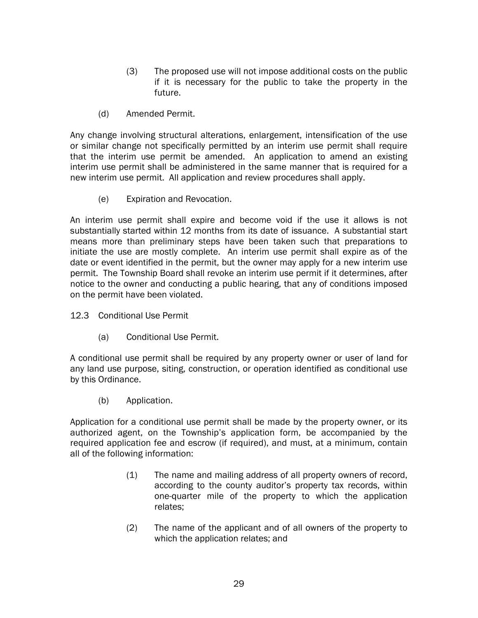- (3) The proposed use will not impose additional costs on the public if it is necessary for the public to take the property in the future.
- (d) Amended Permit.

Any change involving structural alterations, enlargement, intensification of the use or similar change not specifically permitted by an interim use permit shall require that the interim use permit be amended. An application to amend an existing interim use permit shall be administered in the same manner that is required for a new interim use permit. All application and review procedures shall apply.

(e) Expiration and Revocation.

An interim use permit shall expire and become void if the use it allows is not substantially started within 12 months from its date of issuance. A substantial start means more than preliminary steps have been taken such that preparations to initiate the use are mostly complete. An interim use permit shall expire as of the date or event identified in the permit, but the owner may apply for a new interim use permit. The Township Board shall revoke an interim use permit if it determines, after notice to the owner and conducting a public hearing, that any of conditions imposed on the permit have been violated.

- 12.3 Conditional Use Permit
	- (a) Conditional Use Permit.

A conditional use permit shall be required by any property owner or user of land for any land use purpose, siting, construction, or operation identified as conditional use by this Ordinance.

(b) Application.

Application for a conditional use permit shall be made by the property owner, or its authorized agent, on the Township's application form, be accompanied by the required application fee and escrow (if required), and must, at a minimum, contain all of the following information:

- (1) The name and mailing address of all property owners of record, according to the county auditor's property tax records, within one-quarter mile of the property to which the application relates;
- (2) The name of the applicant and of all owners of the property to which the application relates; and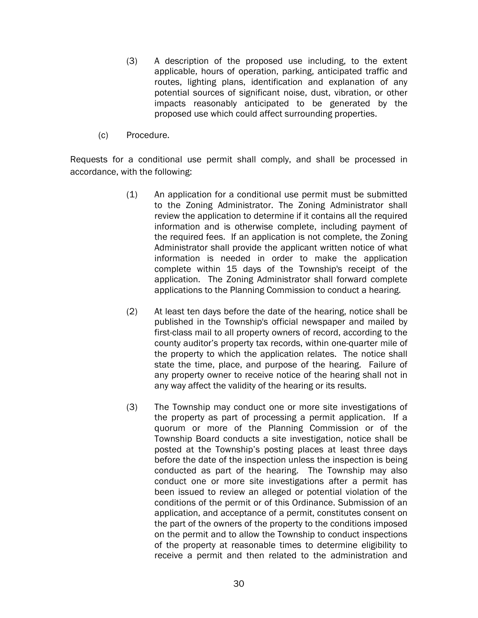- (3) A description of the proposed use including, to the extent applicable, hours of operation, parking, anticipated traffic and routes, lighting plans, identification and explanation of any potential sources of significant noise, dust, vibration, or other impacts reasonably anticipated to be generated by the proposed use which could affect surrounding properties.
- (c) Procedure.

Requests for a conditional use permit shall comply, and shall be processed in accordance, with the following:

- (1) An application for a conditional use permit must be submitted to the Zoning Administrator. The Zoning Administrator shall review the application to determine if it contains all the required information and is otherwise complete, including payment of the required fees. If an application is not complete, the Zoning Administrator shall provide the applicant written notice of what information is needed in order to make the application complete within 15 days of the Township's receipt of the application. The Zoning Administrator shall forward complete applications to the Planning Commission to conduct a hearing.
- (2) At least ten days before the date of the hearing, notice shall be published in the Township's official newspaper and mailed by first-class mail to all property owners of record, according to the county auditor's property tax records, within one-quarter mile of the property to which the application relates. The notice shall state the time, place, and purpose of the hearing. Failure of any property owner to receive notice of the hearing shall not in any way affect the validity of the hearing or its results.
- (3) The Township may conduct one or more site investigations of the property as part of processing a permit application. If a quorum or more of the Planning Commission or of the Township Board conducts a site investigation, notice shall be posted at the Township's posting places at least three days before the date of the inspection unless the inspection is being conducted as part of the hearing. The Township may also conduct one or more site investigations after a permit has been issued to review an alleged or potential violation of the conditions of the permit or of this Ordinance. Submission of an application, and acceptance of a permit, constitutes consent on the part of the owners of the property to the conditions imposed on the permit and to allow the Township to conduct inspections of the property at reasonable times to determine eligibility to receive a permit and then related to the administration and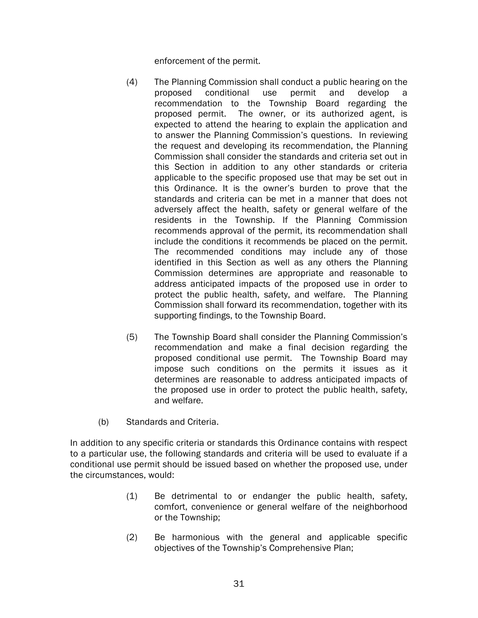enforcement of the permit.

- (4) The Planning Commission shall conduct a public hearing on the proposed conditional use permit and develop recommendation to the Township Board regarding the proposed permit. The owner, or its authorized agent, is expected to attend the hearing to explain the application and to answer the Planning Commission's questions. In reviewing the request and developing its recommendation, the Planning Commission shall consider the standards and criteria set out in this Section in addition to any other standards or criteria applicable to the specific proposed use that may be set out in this Ordinance. It is the owner's burden to prove that the standards and criteria can be met in a manner that does not adversely affect the health, safety or general welfare of the residents in the Township. If the Planning Commission recommends approval of the permit, its recommendation shall include the conditions it recommends be placed on the permit. The recommended conditions may include any of those identified in this Section as well as any others the Planning Commission determines are appropriate and reasonable to address anticipated impacts of the proposed use in order to protect the public health, safety, and welfare. The Planning Commission shall forward its recommendation, together with its supporting findings, to the Township Board.
- (5) The Township Board shall consider the Planning Commission's recommendation and make a final decision regarding the proposed conditional use permit. The Township Board may impose such conditions on the permits it issues as it determines are reasonable to address anticipated impacts of the proposed use in order to protect the public health, safety, and welfare.
- (b) Standards and Criteria.

In addition to any specific criteria or standards this Ordinance contains with respect to a particular use, the following standards and criteria will be used to evaluate if a conditional use permit should be issued based on whether the proposed use, under the circumstances, would:

- (1) Be detrimental to or endanger the public health, safety, comfort, convenience or general welfare of the neighborhood or the Township;
- (2) Be harmonious with the general and applicable specific objectives of the Township's Comprehensive Plan;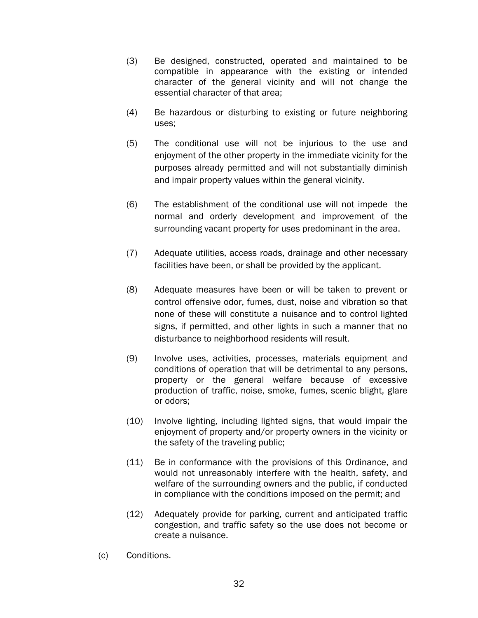- (3) Be designed, constructed, operated and maintained to be compatible in appearance with the existing or intended character of the general vicinity and will not change the essential character of that area;
- (4) Be hazardous or disturbing to existing or future neighboring uses;
- (5) The conditional use will not be injurious to the use and enjoyment of the other property in the immediate vicinity for the purposes already permitted and will not substantially diminish and impair property values within the general vicinity.
- (6) The establishment of the conditional use will not impede the normal and orderly development and improvement of the surrounding vacant property for uses predominant in the area.
- (7) Adequate utilities, access roads, drainage and other necessary facilities have been, or shall be provided by the applicant.
- (8) Adequate measures have been or will be taken to prevent or control offensive odor, fumes, dust, noise and vibration so that none of these will constitute a nuisance and to control lighted signs, if permitted, and other lights in such a manner that no disturbance to neighborhood residents will result.
- (9) Involve uses, activities, processes, materials equipment and conditions of operation that will be detrimental to any persons, property or the general welfare because of excessive production of traffic, noise, smoke, fumes, scenic blight, glare or odors;
- (10) Involve lighting, including lighted signs, that would impair the enjoyment of property and/or property owners in the vicinity or the safety of the traveling public;
- (11) Be in conformance with the provisions of this Ordinance, and would not unreasonably interfere with the health, safety, and welfare of the surrounding owners and the public, if conducted in compliance with the conditions imposed on the permit; and
- (12) Adequately provide for parking, current and anticipated traffic congestion, and traffic safety so the use does not become or create a nuisance.
- (c) Conditions.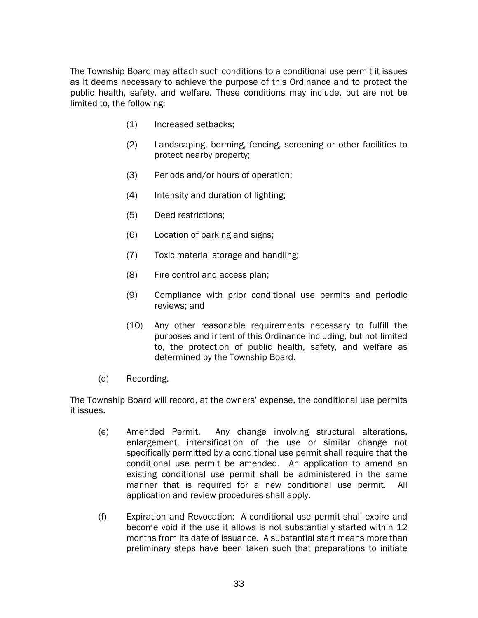The Township Board may attach such conditions to a conditional use permit it issues as it deems necessary to achieve the purpose of this Ordinance and to protect the public health, safety, and welfare. These conditions may include, but are not be limited to, the following:

- (1) Increased setbacks;
- (2) Landscaping, berming, fencing, screening or other facilities to protect nearby property;
- (3) Periods and/or hours of operation;
- (4) Intensity and duration of lighting;
- (5) Deed restrictions;
- (6) Location of parking and signs;
- (7) Toxic material storage and handling;
- (8) Fire control and access plan;
- (9) Compliance with prior conditional use permits and periodic reviews; and
- (10) Any other reasonable requirements necessary to fulfill the purposes and intent of this Ordinance including, but not limited to, the protection of public health, safety, and welfare as determined by the Township Board.
- (d) Recording.

The Township Board will record, at the owners' expense, the conditional use permits it issues.

- (e) Amended Permit. Any change involving structural alterations, enlargement, intensification of the use or similar change not specifically permitted by a conditional use permit shall require that the conditional use permit be amended. An application to amend an existing conditional use permit shall be administered in the same manner that is required for a new conditional use permit. All application and review procedures shall apply.
- (f) Expiration and Revocation: A conditional use permit shall expire and become void if the use it allows is not substantially started within 12 months from its date of issuance. A substantial start means more than preliminary steps have been taken such that preparations to initiate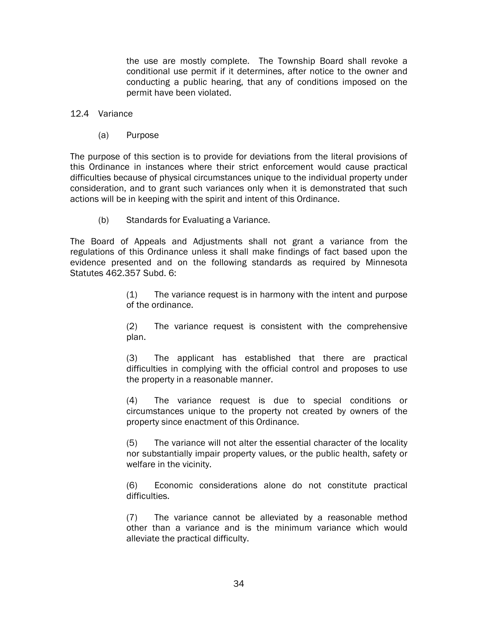the use are mostly complete. The Township Board shall revoke a conditional use permit if it determines, after notice to the owner and conducting a public hearing, that any of conditions imposed on the permit have been violated.

#### 12.4 Variance

(a) Purpose

The purpose of this section is to provide for deviations from the literal provisions of this Ordinance in instances where their strict enforcement would cause practical difficulties because of physical circumstances unique to the individual property under consideration, and to grant such variances only when it is demonstrated that such actions will be in keeping with the spirit and intent of this Ordinance.

(b) Standards for Evaluating a Variance.

The Board of Appeals and Adjustments shall not grant a variance from the regulations of this Ordinance unless it shall make findings of fact based upon the evidence presented and on the following standards as required by Minnesota Statutes 462.357 Subd. 6:

> (1) The variance request is in harmony with the intent and purpose of the ordinance.

> (2) The variance request is consistent with the comprehensive plan.

> (3) The applicant has established that there are practical difficulties in complying with the official control and proposes to use the property in a reasonable manner.

> (4) The variance request is due to special conditions or circumstances unique to the property not created by owners of the property since enactment of this Ordinance.

> (5) The variance will not alter the essential character of the locality nor substantially impair property values, or the public health, safety or welfare in the vicinity.

> (6) Economic considerations alone do not constitute practical difficulties.

> (7) The variance cannot be alleviated by a reasonable method other than a variance and is the minimum variance which would alleviate the practical difficulty.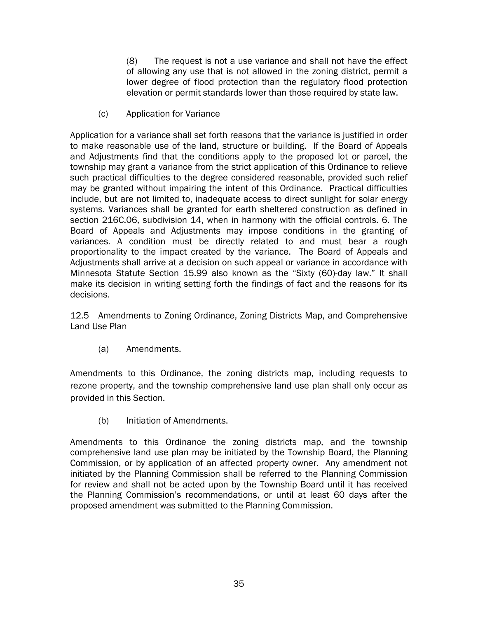(8) The request is not a use variance and shall not have the effect of allowing any use that is not allowed in the zoning district, permit a lower degree of flood protection than the regulatory flood protection elevation or permit standards lower than those required by state law.

(c) Application for Variance

Application for a variance shall set forth reasons that the variance is justified in order to make reasonable use of the land, structure or building. If the Board of Appeals and Adjustments find that the conditions apply to the proposed lot or parcel, the township may grant a variance from the strict application of this Ordinance to relieve such practical difficulties to the degree considered reasonable, provided such relief may be granted without impairing the intent of this Ordinance. Practical difficulties include, but are not limited to, inadequate access to direct sunlight for solar energy systems. Variances shall be granted for earth sheltered construction as defined in section 216C.06, subdivision 14, when in harmony with the official controls. 6. The Board of Appeals and Adjustments may impose conditions in the granting of variances. A condition must be directly related to and must bear a rough proportionality to the impact created by the variance. The Board of Appeals and Adjustments shall arrive at a decision on such appeal or variance in accordance with Minnesota Statute Section 15.99 also known as the "Sixty (60)-day law." It shall make its decision in writing setting forth the findings of fact and the reasons for its decisions.

12.5 Amendments to Zoning Ordinance, Zoning Districts Map, and Comprehensive Land Use Plan

(a) Amendments.

Amendments to this Ordinance, the zoning districts map, including requests to rezone property, and the township comprehensive land use plan shall only occur as provided in this Section.

(b) Initiation of Amendments.

Amendments to this Ordinance the zoning districts map, and the township comprehensive land use plan may be initiated by the Township Board, the Planning Commission, or by application of an affected property owner. Any amendment not initiated by the Planning Commission shall be referred to the Planning Commission for review and shall not be acted upon by the Township Board until it has received the Planning Commission's recommendations, or until at least 60 days after the proposed amendment was submitted to the Planning Commission.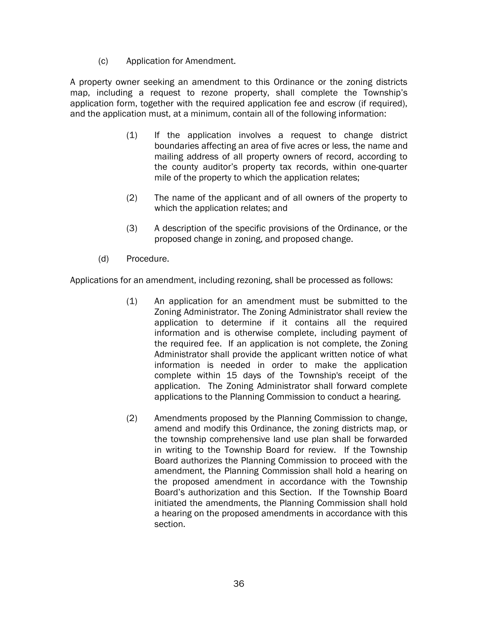(c) Application for Amendment.

A property owner seeking an amendment to this Ordinance or the zoning districts map, including a request to rezone property, shall complete the Township's application form, together with the required application fee and escrow (if required), and the application must, at a minimum, contain all of the following information:

- (1) If the application involves a request to change district boundaries affecting an area of five acres or less, the name and mailing address of all property owners of record, according to the county auditor's property tax records, within one-quarter mile of the property to which the application relates;
- (2) The name of the applicant and of all owners of the property to which the application relates; and
- (3) A description of the specific provisions of the Ordinance, or the proposed change in zoning, and proposed change.
- (d) Procedure.

Applications for an amendment, including rezoning, shall be processed as follows:

- (1) An application for an amendment must be submitted to the Zoning Administrator. The Zoning Administrator shall review the application to determine if it contains all the required information and is otherwise complete, including payment of the required fee. If an application is not complete, the Zoning Administrator shall provide the applicant written notice of what information is needed in order to make the application complete within 15 days of the Township's receipt of the application. The Zoning Administrator shall forward complete applications to the Planning Commission to conduct a hearing.
- (2) Amendments proposed by the Planning Commission to change, amend and modify this Ordinance, the zoning districts map, or the township comprehensive land use plan shall be forwarded in writing to the Township Board for review. If the Township Board authorizes the Planning Commission to proceed with the amendment, the Planning Commission shall hold a hearing on the proposed amendment in accordance with the Township Board's authorization and this Section. If the Township Board initiated the amendments, the Planning Commission shall hold a hearing on the proposed amendments in accordance with this section.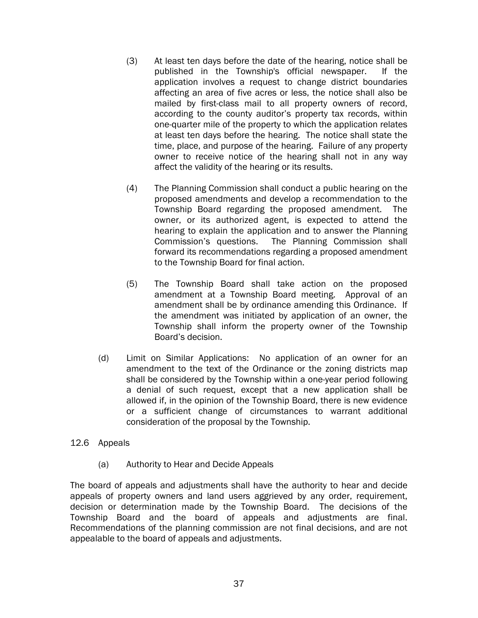- (3) At least ten days before the date of the hearing, notice shall be published in the Township's official newspaper. If the application involves a request to change district boundaries affecting an area of five acres or less, the notice shall also be mailed by first-class mail to all property owners of record, according to the county auditor's property tax records, within one-quarter mile of the property to which the application relates at least ten days before the hearing. The notice shall state the time, place, and purpose of the hearing. Failure of any property owner to receive notice of the hearing shall not in any way affect the validity of the hearing or its results.
- (4) The Planning Commission shall conduct a public hearing on the proposed amendments and develop a recommendation to the Township Board regarding the proposed amendment. The owner, or its authorized agent, is expected to attend the hearing to explain the application and to answer the Planning Commission's questions. The Planning Commission shall forward its recommendations regarding a proposed amendment to the Township Board for final action.
- (5) The Township Board shall take action on the proposed amendment at a Township Board meeting. Approval of an amendment shall be by ordinance amending this Ordinance. If the amendment was initiated by application of an owner, the Township shall inform the property owner of the Township Board's decision.
- (d) Limit on Similar Applications: No application of an owner for an amendment to the text of the Ordinance or the zoning districts map shall be considered by the Township within a one-year period following a denial of such request, except that a new application shall be allowed if, in the opinion of the Township Board, there is new evidence or a sufficient change of circumstances to warrant additional consideration of the proposal by the Township.

#### 12.6 Appeals

(a) Authority to Hear and Decide Appeals

The board of appeals and adjustments shall have the authority to hear and decide appeals of property owners and land users aggrieved by any order, requirement, decision or determination made by the Township Board. The decisions of the Township Board and the board of appeals and adjustments are final. Recommendations of the planning commission are not final decisions, and are not appealable to the board of appeals and adjustments.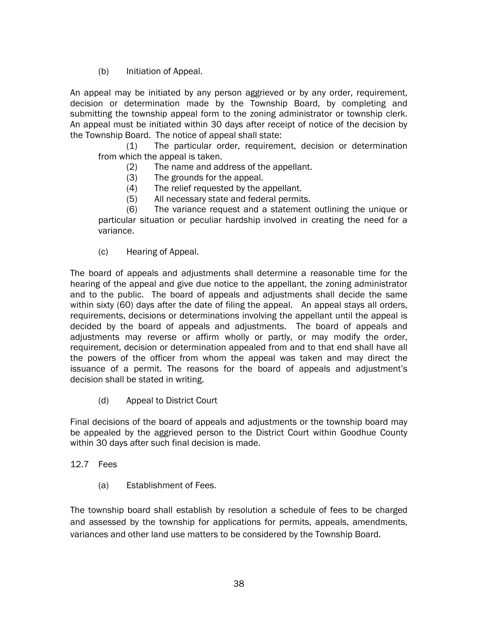(b) Initiation of Appeal.

An appeal may be initiated by any person aggrieved or by any order, requirement, decision or determination made by the Township Board, by completing and submitting the township appeal form to the zoning administrator or township clerk. An appeal must be initiated within 30 days after receipt of notice of the decision by the Township Board. The notice of appeal shall state:

(1) The particular order, requirement, decision or determination from which the appeal is taken.

- (2) The name and address of the appellant.
- (3) The grounds for the appeal.
- (4) The relief requested by the appellant.
- (5) All necessary state and federal permits.

(6) The variance request and a statement outlining the unique or particular situation or peculiar hardship involved in creating the need for a variance.

(c) Hearing of Appeal.

The board of appeals and adjustments shall determine a reasonable time for the hearing of the appeal and give due notice to the appellant, the zoning administrator and to the public. The board of appeals and adjustments shall decide the same within sixty (60) days after the date of filing the appeal. An appeal stays all orders, requirements, decisions or determinations involving the appellant until the appeal is decided by the board of appeals and adjustments. The board of appeals and adjustments may reverse or affirm wholly or partly, or may modify the order, requirement, decision or determination appealed from and to that end shall have all the powers of the officer from whom the appeal was taken and may direct the issuance of a permit. The reasons for the board of appeals and adjustment's decision shall be stated in writing.

(d) Appeal to District Court

Final decisions of the board of appeals and adjustments or the township board may be appealed by the aggrieved person to the District Court within Goodhue County within 30 days after such final decision is made.

## 12.7 Fees

(a) Establishment of Fees.

The township board shall establish by resolution a schedule of fees to be charged and assessed by the township for applications for permits, appeals, amendments, variances and other land use matters to be considered by the Township Board.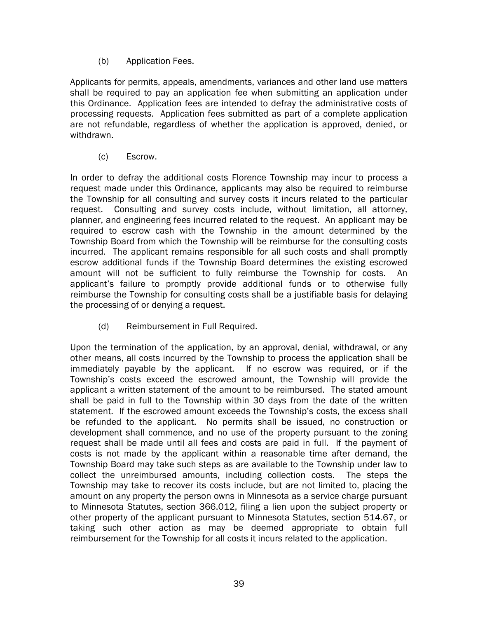(b) Application Fees.

Applicants for permits, appeals, amendments, variances and other land use matters shall be required to pay an application fee when submitting an application under this Ordinance. Application fees are intended to defray the administrative costs of processing requests. Application fees submitted as part of a complete application are not refundable, regardless of whether the application is approved, denied, or withdrawn.

(c) Escrow.

In order to defray the additional costs Florence Township may incur to process a request made under this Ordinance, applicants may also be required to reimburse the Township for all consulting and survey costs it incurs related to the particular request. Consulting and survey costs include, without limitation, all attorney, planner, and engineering fees incurred related to the request. An applicant may be required to escrow cash with the Township in the amount determined by the Township Board from which the Township will be reimburse for the consulting costs incurred. The applicant remains responsible for all such costs and shall promptly escrow additional funds if the Township Board determines the existing escrowed amount will not be sufficient to fully reimburse the Township for costs. An applicant's failure to promptly provide additional funds or to otherwise fully reimburse the Township for consulting costs shall be a justifiable basis for delaying the processing of or denying a request.

(d) Reimbursement in Full Required.

Upon the termination of the application, by an approval, denial, withdrawal, or any other means, all costs incurred by the Township to process the application shall be immediately payable by the applicant. If no escrow was required, or if the Township's costs exceed the escrowed amount, the Township will provide the applicant a written statement of the amount to be reimbursed. The stated amount shall be paid in full to the Township within 30 days from the date of the written statement. If the escrowed amount exceeds the Township's costs, the excess shall be refunded to the applicant. No permits shall be issued, no construction or development shall commence, and no use of the property pursuant to the zoning request shall be made until all fees and costs are paid in full. If the payment of costs is not made by the applicant within a reasonable time after demand, the Township Board may take such steps as are available to the Township under law to collect the unreimbursed amounts, including collection costs. The steps the Township may take to recover its costs include, but are not limited to, placing the amount on any property the person owns in Minnesota as a service charge pursuant to Minnesota Statutes, section 366.012, filing a lien upon the subject property or other property of the applicant pursuant to Minnesota Statutes, section 514.67, or taking such other action as may be deemed appropriate to obtain full reimbursement for the Township for all costs it incurs related to the application.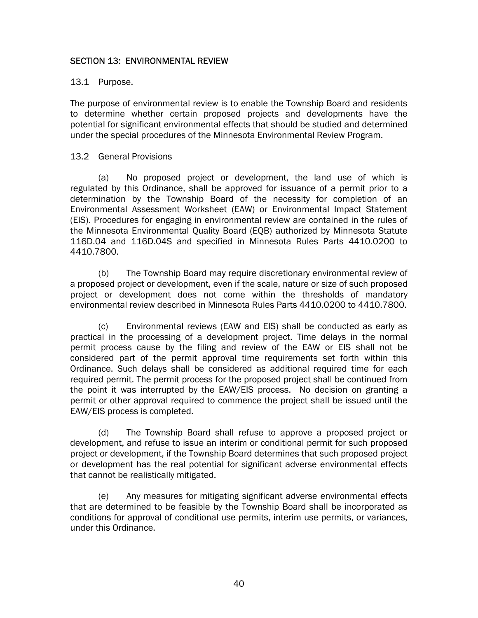## SECTION 13: ENVIRONMENTAL REVIEW

#### 13.1 Purpose.

The purpose of environmental review is to enable the Township Board and residents to determine whether certain proposed projects and developments have the potential for significant environmental effects that should be studied and determined under the special procedures of the Minnesota Environmental Review Program.

#### 13.2 General Provisions

(a) No proposed project or development, the land use of which is regulated by this Ordinance, shall be approved for issuance of a permit prior to a determination by the Township Board of the necessity for completion of an Environmental Assessment Worksheet (EAW) or Environmental Impact Statement (EIS). Procedures for engaging in environmental review are contained in the rules of the Minnesota Environmental Quality Board (EQB) authorized by Minnesota Statute 116D.04 and 116D.04S and specified in Minnesota Rules Parts 4410.0200 to 4410.7800.

(b) The Township Board may require discretionary environmental review of a proposed project or development, even if the scale, nature or size of such proposed project or development does not come within the thresholds of mandatory environmental review described in Minnesota Rules Parts 4410.0200 to 4410.7800.

(c) Environmental reviews (EAW and EIS) shall be conducted as early as practical in the processing of a development project. Time delays in the normal permit process cause by the filing and review of the EAW or EIS shall not be considered part of the permit approval time requirements set forth within this Ordinance. Such delays shall be considered as additional required time for each required permit. The permit process for the proposed project shall be continued from the point it was interrupted by the EAW/EIS process. No decision on granting a permit or other approval required to commence the project shall be issued until the EAW/EIS process is completed.

 (d) The Township Board shall refuse to approve a proposed project or development, and refuse to issue an interim or conditional permit for such proposed project or development, if the Township Board determines that such proposed project or development has the real potential for significant adverse environmental effects that cannot be realistically mitigated.

 (e) Any measures for mitigating significant adverse environmental effects that are determined to be feasible by the Township Board shall be incorporated as conditions for approval of conditional use permits, interim use permits, or variances, under this Ordinance.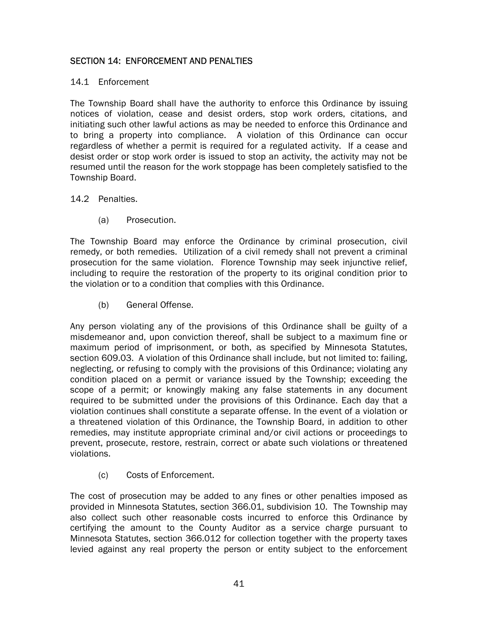# SECTION 14: ENFORCEMENT AND PENALTIES

#### 14.1 Enforcement

The Township Board shall have the authority to enforce this Ordinance by issuing notices of violation, cease and desist orders, stop work orders, citations, and initiating such other lawful actions as may be needed to enforce this Ordinance and to bring a property into compliance. A violation of this Ordinance can occur regardless of whether a permit is required for a regulated activity. If a cease and desist order or stop work order is issued to stop an activity, the activity may not be resumed until the reason for the work stoppage has been completely satisfied to the Township Board.

## 14.2 Penalties.

(a) Prosecution.

The Township Board may enforce the Ordinance by criminal prosecution, civil remedy, or both remedies. Utilization of a civil remedy shall not prevent a criminal prosecution for the same violation. Florence Township may seek injunctive relief, including to require the restoration of the property to its original condition prior to the violation or to a condition that complies with this Ordinance.

(b) General Offense.

Any person violating any of the provisions of this Ordinance shall be guilty of a misdemeanor and, upon conviction thereof, shall be subject to a maximum fine or maximum period of imprisonment, or both, as specified by Minnesota Statutes, section 609.03. A violation of this Ordinance shall include, but not limited to: failing, neglecting, or refusing to comply with the provisions of this Ordinance; violating any condition placed on a permit or variance issued by the Township; exceeding the scope of a permit; or knowingly making any false statements in any document required to be submitted under the provisions of this Ordinance. Each day that a violation continues shall constitute a separate offense. In the event of a violation or a threatened violation of this Ordinance, the Township Board, in addition to other remedies, may institute appropriate criminal and/or civil actions or proceedings to prevent, prosecute, restore, restrain, correct or abate such violations or threatened violations.

(c) Costs of Enforcement.

The cost of prosecution may be added to any fines or other penalties imposed as provided in Minnesota Statutes, section 366.01, subdivision 10. The Township may also collect such other reasonable costs incurred to enforce this Ordinance by certifying the amount to the County Auditor as a service charge pursuant to Minnesota Statutes, section 366.012 for collection together with the property taxes levied against any real property the person or entity subject to the enforcement